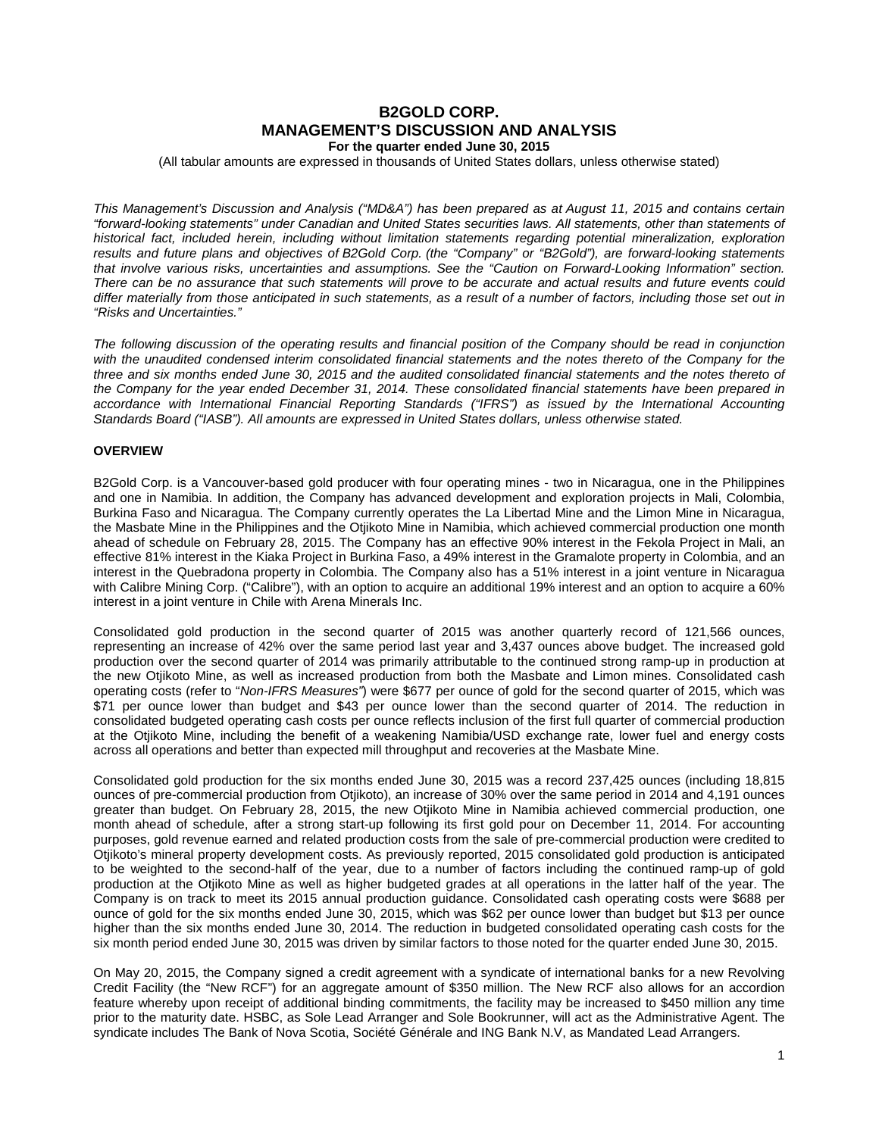# **B2GOLD CORP. MANAGEMENT'S DISCUSSION AND ANALYSIS For the quarter ended June 30, 2015**

(All tabular amounts are expressed in thousands of United States dollars, unless otherwise stated)

*This Management's Discussion and Analysis ("MD&A") has been prepared as at August 11, 2015 and contains certain "forward-looking statements" under Canadian and United States securities laws. All statements, other than statements of historical fact, included herein, including without limitation statements regarding potential mineralization, exploration results and future plans and objectives of B2Gold Corp. (the "Company" or "B2Gold"), are forward-looking statements that involve various risks, uncertainties and assumptions. See the "Caution on Forward-Looking Information" section. There can be no assurance that such statements will prove to be accurate and actual results and future events could differ materially from those anticipated in such statements, as a result of a number of factors, including those set out in "Risks and Uncertainties."*

*The following discussion of the operating results and financial position of the Company should be read in conjunction*  with the unaudited condensed interim consolidated financial statements and the notes thereto of the Company for the *three and six months ended June 30, 2015 and the audited consolidated financial statements and the notes thereto of the Company for the year ended December 31, 2014. These consolidated financial statements have been prepared in*  accordance with International Financial Reporting Standards ("IFRS") as issued by the International Accounting *Standards Board ("IASB"). All amounts are expressed in United States dollars, unless otherwise stated.*

## **OVERVIEW**

B2Gold Corp. is a Vancouver-based gold producer with four operating mines - two in Nicaragua, one in the Philippines and one in Namibia. In addition, the Company has advanced development and exploration projects in Mali, Colombia, Burkina Faso and Nicaragua. The Company currently operates the La Libertad Mine and the Limon Mine in Nicaragua, the Masbate Mine in the Philippines and the Otjikoto Mine in Namibia, which achieved commercial production one month ahead of schedule on February 28, 2015. The Company has an effective 90% interest in the Fekola Project in Mali, an effective 81% interest in the Kiaka Project in Burkina Faso, a 49% interest in the Gramalote property in Colombia, and an interest in the Quebradona property in Colombia. The Company also has a 51% interest in a joint venture in Nicaragua with Calibre Mining Corp. ("Calibre"), with an option to acquire an additional 19% interest and an option to acquire a 60% interest in a joint venture in Chile with Arena Minerals Inc.

Consolidated gold production in the second quarter of 2015 was another quarterly record of 121,566 ounces, representing an increase of 42% over the same period last year and 3,437 ounces above budget. The increased gold production over the second quarter of 2014 was primarily attributable to the continued strong ramp-up in production at the new Otjikoto Mine, as well as increased production from both the Masbate and Limon mines. Consolidated cash operating costs (refer to "*Non-IFRS Measures"*) were \$677 per ounce of gold for the second quarter of 2015, which was \$71 per ounce lower than budget and \$43 per ounce lower than the second quarter of 2014. The reduction in consolidated budgeted operating cash costs per ounce reflects inclusion of the first full quarter of commercial production at the Otjikoto Mine, including the benefit of a weakening Namibia/USD exchange rate, lower fuel and energy costs across all operations and better than expected mill throughput and recoveries at the Masbate Mine.

Consolidated gold production for the six months ended June 30, 2015 was a record 237,425 ounces (including 18,815 ounces of pre-commercial production from Otjikoto), an increase of 30% over the same period in 2014 and 4,191 ounces greater than budget. On February 28, 2015, the new Otjikoto Mine in Namibia achieved commercial production, one month ahead of schedule, after a strong start-up following its first gold pour on December 11, 2014. For accounting purposes, gold revenue earned and related production costs from the sale of pre-commercial production were credited to Otjikoto's mineral property development costs. As previously reported, 2015 consolidated gold production is anticipated to be weighted to the second-half of the year, due to a number of factors including the continued ramp-up of gold production at the Otjikoto Mine as well as higher budgeted grades at all operations in the latter half of the year. The Company is on track to meet its 2015 annual production guidance. Consolidated cash operating costs were \$688 per ounce of gold for the six months ended June 30, 2015, which was \$62 per ounce lower than budget but \$13 per ounce higher than the six months ended June 30, 2014. The reduction in budgeted consolidated operating cash costs for the six month period ended June 30, 2015 was driven by similar factors to those noted for the quarter ended June 30, 2015.

On May 20, 2015, the Company signed a credit agreement with a syndicate of international banks for a new Revolving Credit Facility (the "New RCF") for an aggregate amount of \$350 million. The New RCF also allows for an accordion feature whereby upon receipt of additional binding commitments, the facility may be increased to \$450 million any time prior to the maturity date. HSBC, as Sole Lead Arranger and Sole Bookrunner, will act as the Administrative Agent. The syndicate includes The Bank of Nova Scotia, Société Générale and ING Bank N.V, as Mandated Lead Arrangers.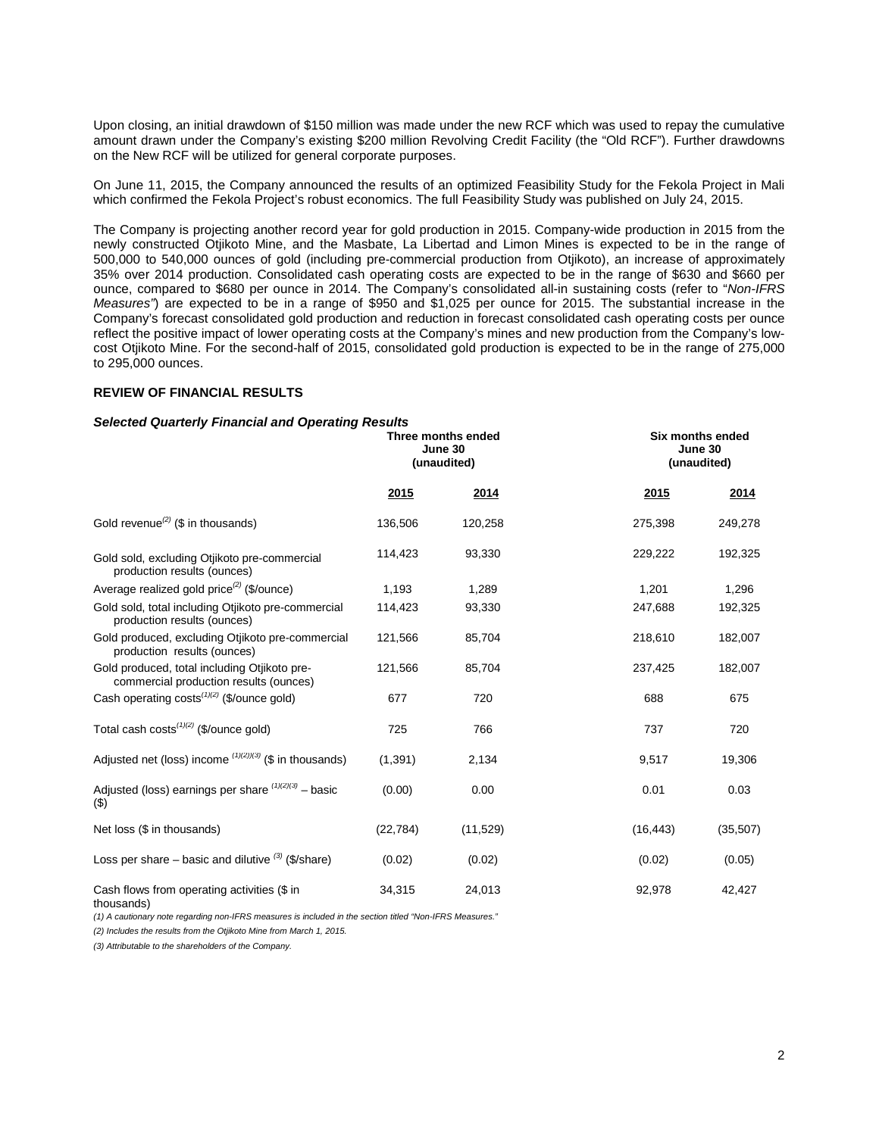Upon closing, an initial drawdown of \$150 million was made under the new RCF which was used to repay the cumulative amount drawn under the Company's existing \$200 million Revolving Credit Facility (the "Old RCF"). Further drawdowns on the New RCF will be utilized for general corporate purposes.

On June 11, 2015, the Company announced the results of an optimized Feasibility Study for the Fekola Project in Mali which confirmed the Fekola Project's robust economics. The full Feasibility Study was published on July 24, 2015.

The Company is projecting another record year for gold production in 2015. Company-wide production in 2015 from the newly constructed Otjikoto Mine, and the Masbate, La Libertad and Limon Mines is expected to be in the range of 500,000 to 540,000 ounces of gold (including pre-commercial production from Otjikoto), an increase of approximately 35% over 2014 production. Consolidated cash operating costs are expected to be in the range of \$630 and \$660 per ounce, compared to \$680 per ounce in 2014. The Company's consolidated all-in sustaining costs (refer to "*Non-IFRS Measures"*) are expected to be in a range of \$950 and \$1,025 per ounce for 2015. The substantial increase in the Company's forecast consolidated gold production and reduction in forecast consolidated cash operating costs per ounce reflect the positive impact of lower operating costs at the Company's mines and new production from the Company's lowcost Otjikoto Mine. For the second-half of 2015, consolidated gold production is expected to be in the range of 275,000 to 295,000 ounces.

#### **REVIEW OF FINANCIAL RESULTS**

#### *Selected Quarterly Financial and Operating Results*

|                                                                                        | Three months ended<br>June 30<br>(unaudited) |           |           | Six months ended<br>June 30<br>(unaudited) |  |
|----------------------------------------------------------------------------------------|----------------------------------------------|-----------|-----------|--------------------------------------------|--|
|                                                                                        | 2015                                         | 2014      | 2015      | 2014                                       |  |
| Gold revenue <sup>(2)</sup> (\$ in thousands)                                          | 136,506                                      | 120,258   | 275,398   | 249,278                                    |  |
| Gold sold, excluding Otjikoto pre-commercial<br>production results (ounces)            | 114,423                                      | 93,330    | 229,222   | 192,325                                    |  |
| Average realized gold price <sup>(2)</sup> (\$/ounce)                                  | 1,193                                        | 1,289     | 1,201     | 1,296                                      |  |
| Gold sold, total including Otjikoto pre-commercial<br>production results (ounces)      | 114,423                                      | 93,330    | 247,688   | 192,325                                    |  |
| Gold produced, excluding Otjikoto pre-commercial<br>production results (ounces)        | 121,566                                      | 85,704    | 218,610   | 182,007                                    |  |
| Gold produced, total including Otjikoto pre-<br>commercial production results (ounces) | 121,566                                      | 85,704    | 237,425   | 182,007                                    |  |
| Cash operating costs <sup>(1)(2)</sup> (\$/ounce gold)                                 | 677                                          | 720       | 688       | 675                                        |  |
| Total cash costs $(1)(2)$ (\$/ounce gold)                                              | 725                                          | 766       | 737       | 720                                        |  |
| Adjusted net (loss) income $^{(1)(2)(3)}$ (\$ in thousands)                            | (1, 391)                                     | 2,134     | 9,517     | 19,306                                     |  |
| Adjusted (loss) earnings per share $(1)(2)(3)$ - basic<br>(3)                          | (0.00)                                       | 0.00      | 0.01      | 0.03                                       |  |
| Net loss (\$ in thousands)                                                             | (22, 784)                                    | (11, 529) | (16, 443) | (35, 507)                                  |  |
| Loss per share – basic and dilutive $(3)$ (\$/share)                                   | (0.02)                                       | (0.02)    | (0.02)    | (0.05)                                     |  |
| Cash flows from operating activities (\$ in<br>thousands)                              | 34,315                                       | 24,013    | 92,978    | 42,427                                     |  |

*(1) A cautionary note regarding non-IFRS measures is included in the section titled "Non-IFRS Measures."* 

*(2) Includes the results from the Otjikoto Mine from March 1, 2015.*

*(3) Attributable to the shareholders of the Company.*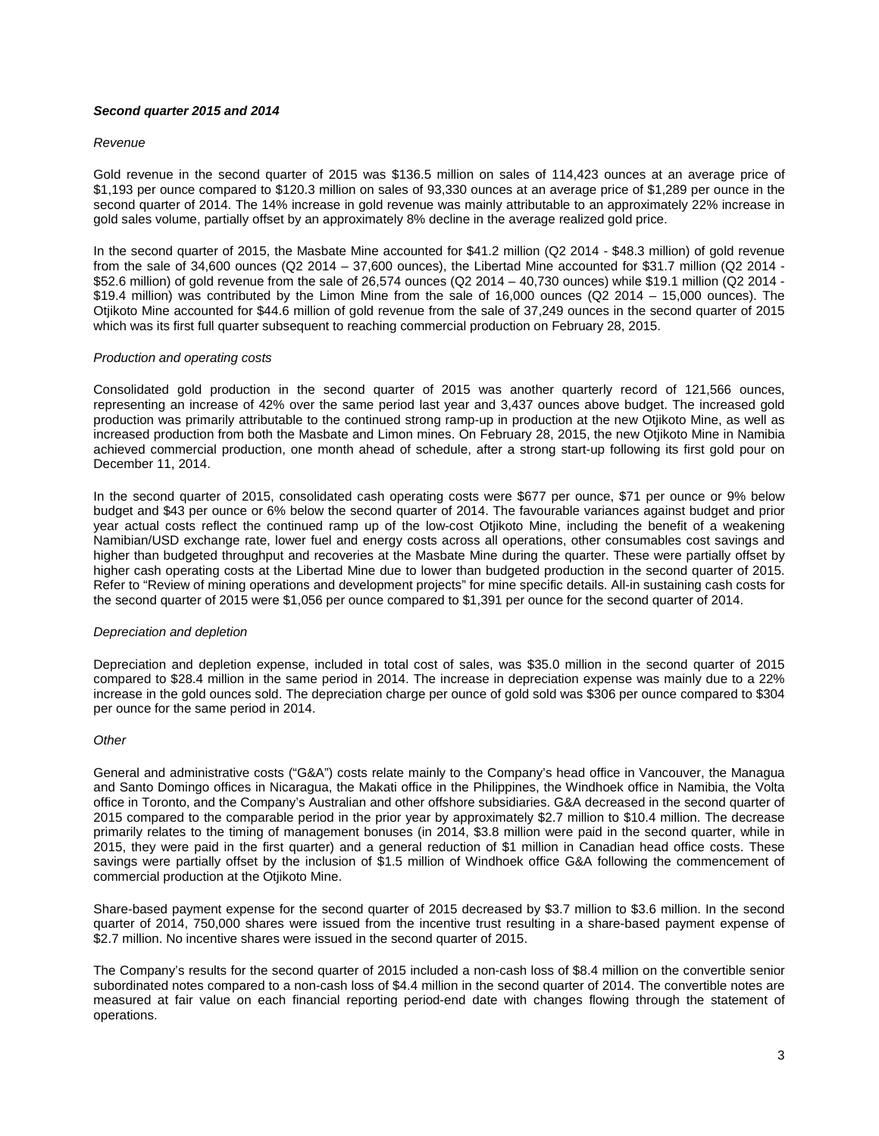# *Second quarter 2015 and 2014*

#### *Revenue*

Gold revenue in the second quarter of 2015 was \$136.5 million on sales of 114,423 ounces at an average price of \$1,193 per ounce compared to \$120.3 million on sales of 93,330 ounces at an average price of \$1,289 per ounce in the second quarter of 2014. The 14% increase in gold revenue was mainly attributable to an approximately 22% increase in gold sales volume, partially offset by an approximately 8% decline in the average realized gold price.

In the second quarter of 2015, the Masbate Mine accounted for \$41.2 million (Q2 2014 - \$48.3 million) of gold revenue from the sale of 34,600 ounces (Q2 2014 – 37,600 ounces), the Libertad Mine accounted for \$31.7 million (Q2 2014 - \$52.6 million) of gold revenue from the sale of 26,574 ounces (Q2 2014 – 40,730 ounces) while \$19.1 million (Q2 2014 - \$19.4 million) was contributed by the Limon Mine from the sale of 16,000 ounces (Q2 2014 – 15,000 ounces). The Otjikoto Mine accounted for \$44.6 million of gold revenue from the sale of 37,249 ounces in the second quarter of 2015 which was its first full quarter subsequent to reaching commercial production on February 28, 2015.

#### *Production and operating costs*

Consolidated gold production in the second quarter of 2015 was another quarterly record of 121,566 ounces, representing an increase of 42% over the same period last year and 3,437 ounces above budget. The increased gold production was primarily attributable to the continued strong ramp-up in production at the new Otjikoto Mine, as well as increased production from both the Masbate and Limon mines. On February 28, 2015, the new Otjikoto Mine in Namibia achieved commercial production, one month ahead of schedule, after a strong start-up following its first gold pour on December 11, 2014.

In the second quarter of 2015, consolidated cash operating costs were \$677 per ounce, \$71 per ounce or 9% below budget and \$43 per ounce or 6% below the second quarter of 2014. The favourable variances against budget and prior year actual costs reflect the continued ramp up of the low-cost Otjikoto Mine, including the benefit of a weakening Namibian/USD exchange rate, lower fuel and energy costs across all operations, other consumables cost savings and higher than budgeted throughput and recoveries at the Masbate Mine during the quarter. These were partially offset by higher cash operating costs at the Libertad Mine due to lower than budgeted production in the second quarter of 2015. Refer to "Review of mining operations and development projects" for mine specific details. All-in sustaining cash costs for the second quarter of 2015 were \$1,056 per ounce compared to \$1,391 per ounce for the second quarter of 2014.

#### *Depreciation and depletion*

Depreciation and depletion expense, included in total cost of sales, was \$35.0 million in the second quarter of 2015 compared to \$28.4 million in the same period in 2014. The increase in depreciation expense was mainly due to a 22% increase in the gold ounces sold. The depreciation charge per ounce of gold sold was \$306 per ounce compared to \$304 per ounce for the same period in 2014.

# *Other*

General and administrative costs ("G&A") costs relate mainly to the Company's head office in Vancouver, the Managua and Santo Domingo offices in Nicaragua, the Makati office in the Philippines, the Windhoek office in Namibia, the Volta office in Toronto, and the Company's Australian and other offshore subsidiaries. G&A decreased in the second quarter of 2015 compared to the comparable period in the prior year by approximately \$2.7 million to \$10.4 million. The decrease primarily relates to the timing of management bonuses (in 2014, \$3.8 million were paid in the second quarter, while in 2015, they were paid in the first quarter) and a general reduction of \$1 million in Canadian head office costs. These savings were partially offset by the inclusion of \$1.5 million of Windhoek office G&A following the commencement of commercial production at the Otjikoto Mine.

Share-based payment expense for the second quarter of 2015 decreased by \$3.7 million to \$3.6 million. In the second quarter of 2014, 750,000 shares were issued from the incentive trust resulting in a share-based payment expense of \$2.7 million. No incentive shares were issued in the second quarter of 2015.

The Company's results for the second quarter of 2015 included a non-cash loss of \$8.4 million on the convertible senior subordinated notes compared to a non-cash loss of \$4.4 million in the second quarter of 2014. The convertible notes are measured at fair value on each financial reporting period-end date with changes flowing through the statement of operations.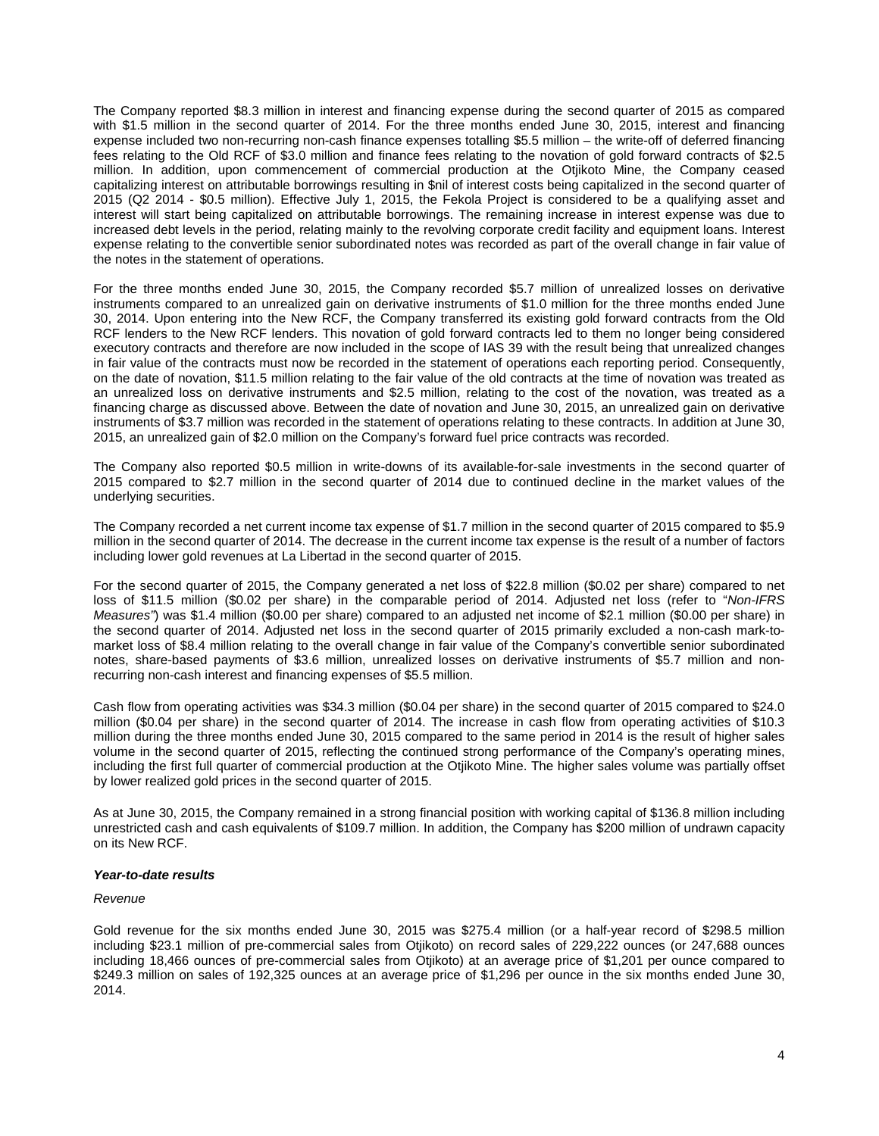The Company reported \$8.3 million in interest and financing expense during the second quarter of 2015 as compared with \$1.5 million in the second quarter of 2014. For the three months ended June 30, 2015, interest and financing expense included two non-recurring non-cash finance expenses totalling \$5.5 million – the write-off of deferred financing fees relating to the Old RCF of \$3.0 million and finance fees relating to the novation of gold forward contracts of \$2.5 million. In addition, upon commencement of commercial production at the Otjikoto Mine, the Company ceased capitalizing interest on attributable borrowings resulting in \$nil of interest costs being capitalized in the second quarter of 2015 (Q2 2014 - \$0.5 million). Effective July 1, 2015, the Fekola Project is considered to be a qualifying asset and interest will start being capitalized on attributable borrowings. The remaining increase in interest expense was due to increased debt levels in the period, relating mainly to the revolving corporate credit facility and equipment loans. Interest expense relating to the convertible senior subordinated notes was recorded as part of the overall change in fair value of the notes in the statement of operations.

For the three months ended June 30, 2015, the Company recorded \$5.7 million of unrealized losses on derivative instruments compared to an unrealized gain on derivative instruments of \$1.0 million for the three months ended June 30, 2014. Upon entering into the New RCF, the Company transferred its existing gold forward contracts from the Old RCF lenders to the New RCF lenders. This novation of gold forward contracts led to them no longer being considered executory contracts and therefore are now included in the scope of IAS 39 with the result being that unrealized changes in fair value of the contracts must now be recorded in the statement of operations each reporting period. Consequently, on the date of novation, \$11.5 million relating to the fair value of the old contracts at the time of novation was treated as an unrealized loss on derivative instruments and \$2.5 million, relating to the cost of the novation, was treated as a financing charge as discussed above. Between the date of novation and June 30, 2015, an unrealized gain on derivative instruments of \$3.7 million was recorded in the statement of operations relating to these contracts. In addition at June 30, 2015, an unrealized gain of \$2.0 million on the Company's forward fuel price contracts was recorded.

The Company also reported \$0.5 million in write-downs of its available-for-sale investments in the second quarter of 2015 compared to \$2.7 million in the second quarter of 2014 due to continued decline in the market values of the underlying securities.

The Company recorded a net current income tax expense of \$1.7 million in the second quarter of 2015 compared to \$5.9 million in the second quarter of 2014. The decrease in the current income tax expense is the result of a number of factors including lower gold revenues at La Libertad in the second quarter of 2015.

For the second quarter of 2015, the Company generated a net loss of \$22.8 million (\$0.02 per share) compared to net loss of \$11.5 million (\$0.02 per share) in the comparable period of 2014. Adjusted net loss (refer to "*Non-IFRS Measures"*) was \$1.4 million (\$0.00 per share) compared to an adjusted net income of \$2.1 million (\$0.00 per share) in the second quarter of 2014. Adjusted net loss in the second quarter of 2015 primarily excluded a non-cash mark-tomarket loss of \$8.4 million relating to the overall change in fair value of the Company's convertible senior subordinated notes, share-based payments of \$3.6 million, unrealized losses on derivative instruments of \$5.7 million and nonrecurring non-cash interest and financing expenses of \$5.5 million.

Cash flow from operating activities was \$34.3 million (\$0.04 per share) in the second quarter of 2015 compared to \$24.0 million (\$0.04 per share) in the second quarter of 2014. The increase in cash flow from operating activities of \$10.3 million during the three months ended June 30, 2015 compared to the same period in 2014 is the result of higher sales volume in the second quarter of 2015, reflecting the continued strong performance of the Company's operating mines, including the first full quarter of commercial production at the Otjikoto Mine. The higher sales volume was partially offset by lower realized gold prices in the second quarter of 2015.

As at June 30, 2015, the Company remained in a strong financial position with working capital of \$136.8 million including unrestricted cash and cash equivalents of \$109.7 million. In addition, the Company has \$200 million of undrawn capacity on its New RCF.

#### *Year-to-date results*

#### *Revenue*

Gold revenue for the six months ended June 30, 2015 was \$275.4 million (or a half-year record of \$298.5 million including \$23.1 million of pre-commercial sales from Otjikoto) on record sales of 229,222 ounces (or 247,688 ounces including 18,466 ounces of pre-commercial sales from Otjikoto) at an average price of \$1,201 per ounce compared to \$249.3 million on sales of 192,325 ounces at an average price of \$1,296 per ounce in the six months ended June 30, 2014.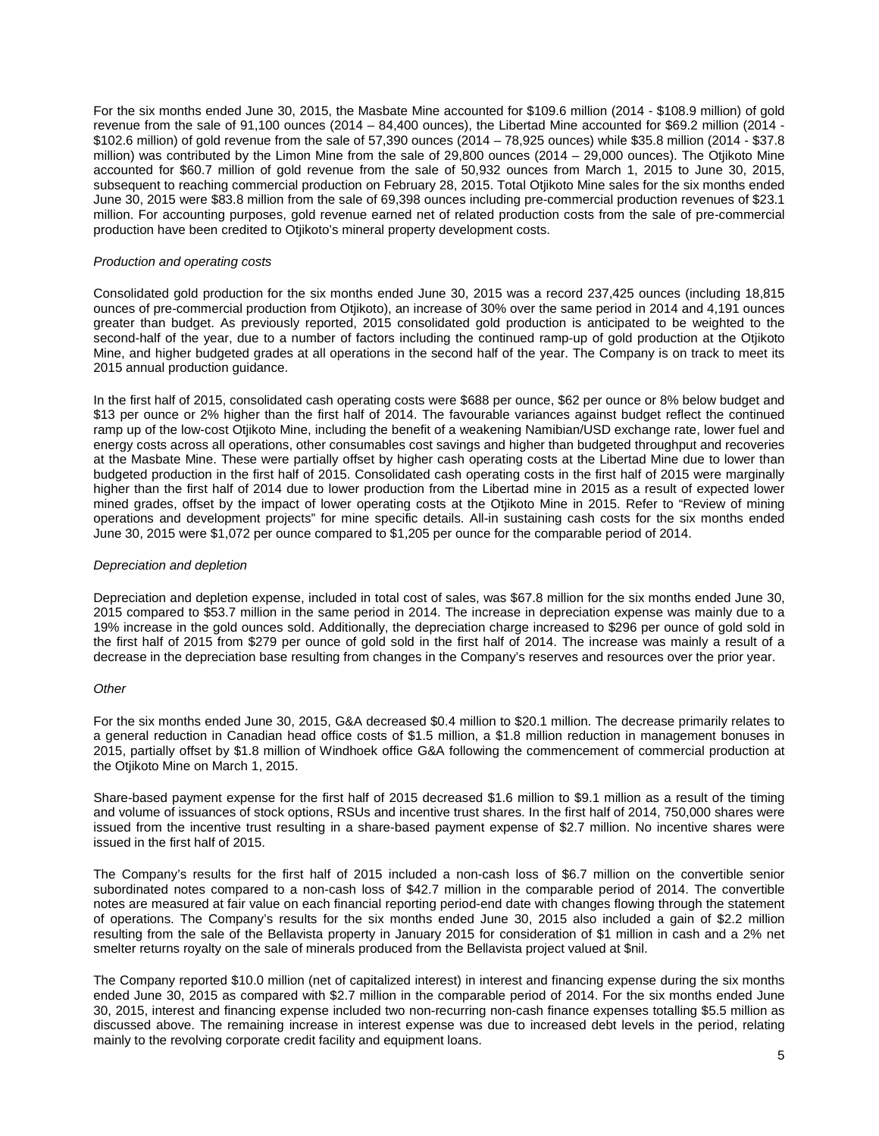For the six months ended June 30, 2015, the Masbate Mine accounted for \$109.6 million (2014 - \$108.9 million) of gold revenue from the sale of 91,100 ounces (2014 – 84,400 ounces), the Libertad Mine accounted for \$69.2 million (2014 - \$102.6 million) of gold revenue from the sale of 57,390 ounces (2014 – 78,925 ounces) while \$35.8 million (2014 - \$37.8 million) was contributed by the Limon Mine from the sale of 29,800 ounces (2014 – 29,000 ounces). The Otjikoto Mine accounted for \$60.7 million of gold revenue from the sale of 50,932 ounces from March 1, 2015 to June 30, 2015, subsequent to reaching commercial production on February 28, 2015. Total Otjikoto Mine sales for the six months ended June 30, 2015 were \$83.8 million from the sale of 69,398 ounces including pre-commercial production revenues of \$23.1 million. For accounting purposes, gold revenue earned net of related production costs from the sale of pre-commercial production have been credited to Otjikoto's mineral property development costs.

#### *Production and operating costs*

Consolidated gold production for the six months ended June 30, 2015 was a record 237,425 ounces (including 18,815 ounces of pre-commercial production from Otjikoto), an increase of 30% over the same period in 2014 and 4,191 ounces greater than budget. As previously reported, 2015 consolidated gold production is anticipated to be weighted to the second-half of the year, due to a number of factors including the continued ramp-up of gold production at the Otjikoto Mine, and higher budgeted grades at all operations in the second half of the year. The Company is on track to meet its 2015 annual production guidance.

In the first half of 2015, consolidated cash operating costs were \$688 per ounce, \$62 per ounce or 8% below budget and \$13 per ounce or 2% higher than the first half of 2014. The favourable variances against budget reflect the continued ramp up of the low-cost Otjikoto Mine, including the benefit of a weakening Namibian/USD exchange rate, lower fuel and energy costs across all operations, other consumables cost savings and higher than budgeted throughput and recoveries at the Masbate Mine. These were partially offset by higher cash operating costs at the Libertad Mine due to lower than budgeted production in the first half of 2015. Consolidated cash operating costs in the first half of 2015 were marginally higher than the first half of 2014 due to lower production from the Libertad mine in 2015 as a result of expected lower mined grades, offset by the impact of lower operating costs at the Otjikoto Mine in 2015. Refer to "Review of mining operations and development projects" for mine specific details. All-in sustaining cash costs for the six months ended June 30, 2015 were \$1,072 per ounce compared to \$1,205 per ounce for the comparable period of 2014.

#### *Depreciation and depletion*

Depreciation and depletion expense, included in total cost of sales, was \$67.8 million for the six months ended June 30, 2015 compared to \$53.7 million in the same period in 2014. The increase in depreciation expense was mainly due to a 19% increase in the gold ounces sold. Additionally, the depreciation charge increased to \$296 per ounce of gold sold in the first half of 2015 from \$279 per ounce of gold sold in the first half of 2014. The increase was mainly a result of a decrease in the depreciation base resulting from changes in the Company's reserves and resources over the prior year.

#### *Other*

For the six months ended June 30, 2015, G&A decreased \$0.4 million to \$20.1 million. The decrease primarily relates to a general reduction in Canadian head office costs of \$1.5 million, a \$1.8 million reduction in management bonuses in 2015, partially offset by \$1.8 million of Windhoek office G&A following the commencement of commercial production at the Otjikoto Mine on March 1, 2015.

Share-based payment expense for the first half of 2015 decreased \$1.6 million to \$9.1 million as a result of the timing and volume of issuances of stock options, RSUs and incentive trust shares. In the first half of 2014, 750,000 shares were issued from the incentive trust resulting in a share-based payment expense of \$2.7 million. No incentive shares were issued in the first half of 2015.

The Company's results for the first half of 2015 included a non-cash loss of \$6.7 million on the convertible senior subordinated notes compared to a non-cash loss of \$42.7 million in the comparable period of 2014. The convertible notes are measured at fair value on each financial reporting period-end date with changes flowing through the statement of operations. The Company's results for the six months ended June 30, 2015 also included a gain of \$2.2 million resulting from the sale of the Bellavista property in January 2015 for consideration of \$1 million in cash and a 2% net smelter returns royalty on the sale of minerals produced from the Bellavista project valued at \$nil.

The Company reported \$10.0 million (net of capitalized interest) in interest and financing expense during the six months ended June 30, 2015 as compared with \$2.7 million in the comparable period of 2014. For the six months ended June 30, 2015, interest and financing expense included two non-recurring non-cash finance expenses totalling \$5.5 million as discussed above. The remaining increase in interest expense was due to increased debt levels in the period, relating mainly to the revolving corporate credit facility and equipment loans.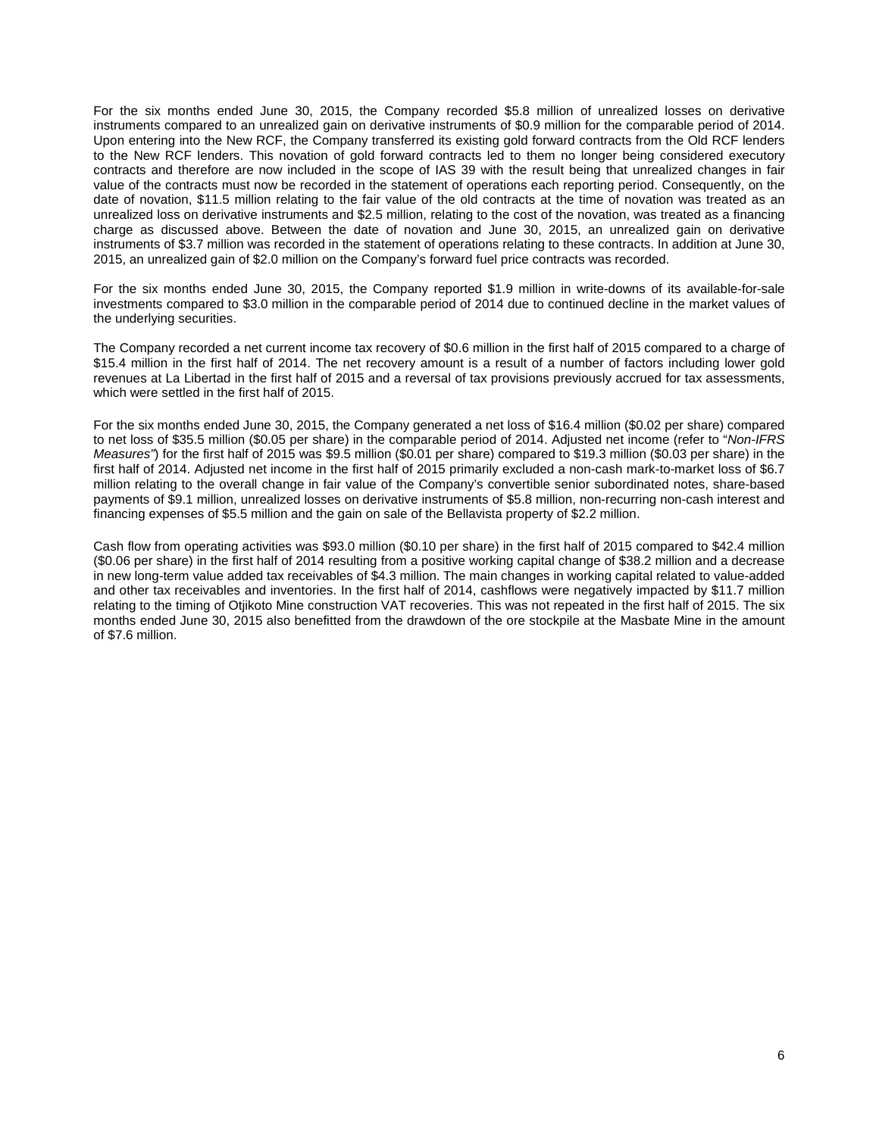For the six months ended June 30, 2015, the Company recorded \$5.8 million of unrealized losses on derivative instruments compared to an unrealized gain on derivative instruments of \$0.9 million for the comparable period of 2014. Upon entering into the New RCF, the Company transferred its existing gold forward contracts from the Old RCF lenders to the New RCF lenders. This novation of gold forward contracts led to them no longer being considered executory contracts and therefore are now included in the scope of IAS 39 with the result being that unrealized changes in fair value of the contracts must now be recorded in the statement of operations each reporting period. Consequently, on the date of novation, \$11.5 million relating to the fair value of the old contracts at the time of novation was treated as an unrealized loss on derivative instruments and \$2.5 million, relating to the cost of the novation, was treated as a financing charge as discussed above. Between the date of novation and June 30, 2015, an unrealized gain on derivative instruments of \$3.7 million was recorded in the statement of operations relating to these contracts. In addition at June 30, 2015, an unrealized gain of \$2.0 million on the Company's forward fuel price contracts was recorded.

For the six months ended June 30, 2015, the Company reported \$1.9 million in write-downs of its available-for-sale investments compared to \$3.0 million in the comparable period of 2014 due to continued decline in the market values of the underlying securities.

The Company recorded a net current income tax recovery of \$0.6 million in the first half of 2015 compared to a charge of \$15.4 million in the first half of 2014. The net recovery amount is a result of a number of factors including lower gold revenues at La Libertad in the first half of 2015 and a reversal of tax provisions previously accrued for tax assessments, which were settled in the first half of 2015.

For the six months ended June 30, 2015, the Company generated a net loss of \$16.4 million (\$0.02 per share) compared to net loss of \$35.5 million (\$0.05 per share) in the comparable period of 2014. Adjusted net income (refer to "*Non-IFRS Measures"*) for the first half of 2015 was \$9.5 million (\$0.01 per share) compared to \$19.3 million (\$0.03 per share) in the first half of 2014. Adjusted net income in the first half of 2015 primarily excluded a non-cash mark-to-market loss of \$6.7 million relating to the overall change in fair value of the Company's convertible senior subordinated notes, share-based payments of \$9.1 million, unrealized losses on derivative instruments of \$5.8 million, non-recurring non-cash interest and financing expenses of \$5.5 million and the gain on sale of the Bellavista property of \$2.2 million.

Cash flow from operating activities was \$93.0 million (\$0.10 per share) in the first half of 2015 compared to \$42.4 million (\$0.06 per share) in the first half of 2014 resulting from a positive working capital change of \$38.2 million and a decrease in new long-term value added tax receivables of \$4.3 million. The main changes in working capital related to value-added and other tax receivables and inventories. In the first half of 2014, cashflows were negatively impacted by \$11.7 million relating to the timing of Otjikoto Mine construction VAT recoveries. This was not repeated in the first half of 2015. The six months ended June 30, 2015 also benefitted from the drawdown of the ore stockpile at the Masbate Mine in the amount of \$7.6 million.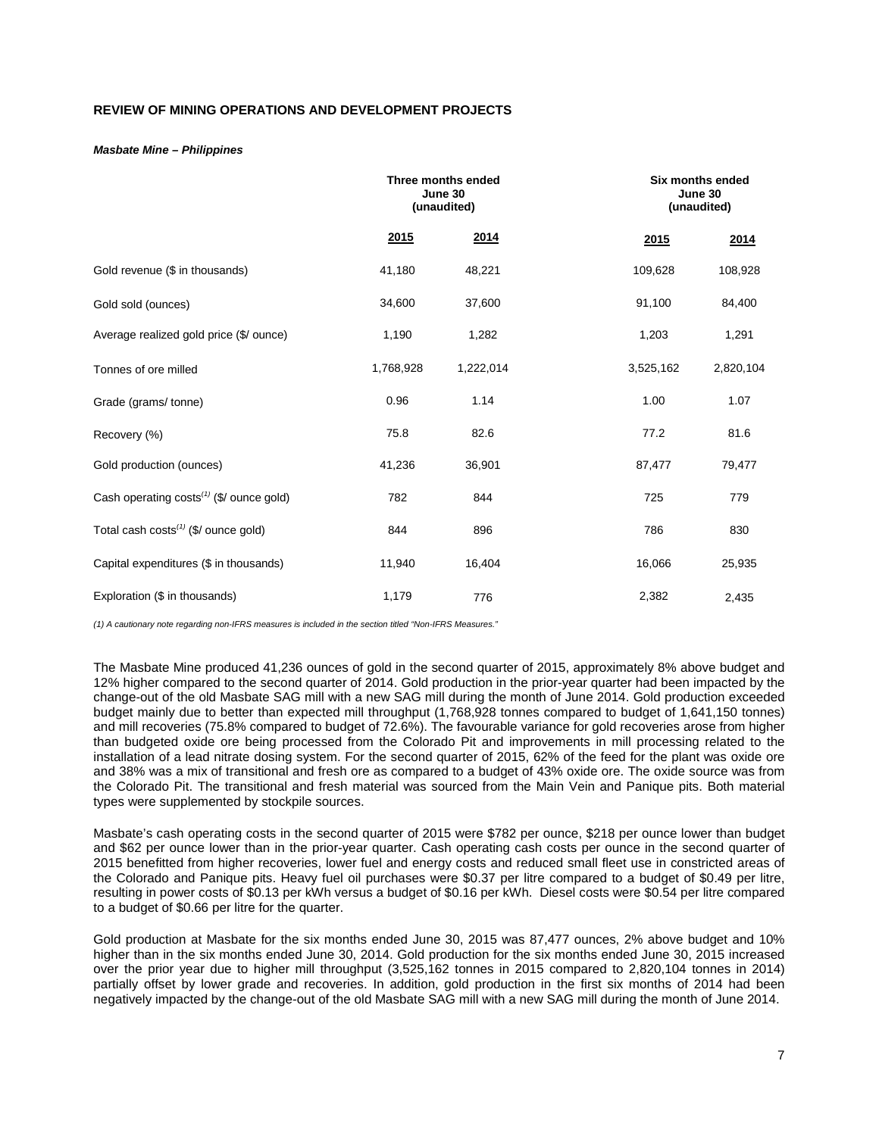# **REVIEW OF MINING OPERATIONS AND DEVELOPMENT PROJECTS**

#### *Masbate Mine – Philippines*

|                                                  | Three months ended<br>June 30<br>(unaudited) |           |           | Six months ended<br>June 30<br>(unaudited) |  |
|--------------------------------------------------|----------------------------------------------|-----------|-----------|--------------------------------------------|--|
|                                                  | 2015                                         | 2014      | 2015      | 2014                                       |  |
| Gold revenue (\$ in thousands)                   | 41,180                                       | 48,221    | 109,628   | 108,928                                    |  |
| Gold sold (ounces)                               | 34,600                                       | 37,600    | 91,100    | 84,400                                     |  |
| Average realized gold price (\$/ ounce)          | 1,190                                        | 1,282     | 1,203     | 1,291                                      |  |
| Tonnes of ore milled                             | 1,768,928                                    | 1,222,014 | 3,525,162 | 2,820,104                                  |  |
| Grade (grams/tonne)                              | 0.96                                         | 1.14      | 1.00      | 1.07                                       |  |
| Recovery (%)                                     | 75.8                                         | 82.6      | 77.2      | 81.6                                       |  |
| Gold production (ounces)                         | 41,236                                       | 36,901    | 87,477    | 79,477                                     |  |
| Cash operating $costs^{(1)}$ (\$/ ounce gold)    | 782                                          | 844       | 725       | 779                                        |  |
| Total cash costs <sup>(1)</sup> (\$/ ounce gold) | 844                                          | 896       | 786       | 830                                        |  |
| Capital expenditures (\$ in thousands)           | 11,940                                       | 16,404    | 16,066    | 25,935                                     |  |
| Exploration (\$ in thousands)                    | 1,179                                        | 776       | 2,382     | 2,435                                      |  |

*(1) A cautionary note regarding non-IFRS measures is included in the section titled "Non-IFRS Measures."* 

The Masbate Mine produced 41,236 ounces of gold in the second quarter of 2015, approximately 8% above budget and 12% higher compared to the second quarter of 2014. Gold production in the prior-year quarter had been impacted by the change-out of the old Masbate SAG mill with a new SAG mill during the month of June 2014. Gold production exceeded budget mainly due to better than expected mill throughput (1,768,928 tonnes compared to budget of 1,641,150 tonnes) and mill recoveries (75.8% compared to budget of 72.6%). The favourable variance for gold recoveries arose from higher than budgeted oxide ore being processed from the Colorado Pit and improvements in mill processing related to the installation of a lead nitrate dosing system. For the second quarter of 2015, 62% of the feed for the plant was oxide ore and 38% was a mix of transitional and fresh ore as compared to a budget of 43% oxide ore. The oxide source was from the Colorado Pit. The transitional and fresh material was sourced from the Main Vein and Panique pits. Both material types were supplemented by stockpile sources.

Masbate's cash operating costs in the second quarter of 2015 were \$782 per ounce, \$218 per ounce lower than budget and \$62 per ounce lower than in the prior-year quarter. Cash operating cash costs per ounce in the second quarter of 2015 benefitted from higher recoveries, lower fuel and energy costs and reduced small fleet use in constricted areas of the Colorado and Panique pits. Heavy fuel oil purchases were \$0.37 per litre compared to a budget of \$0.49 per litre, resulting in power costs of \$0.13 per kWh versus a budget of \$0.16 per kWh. Diesel costs were \$0.54 per litre compared to a budget of \$0.66 per litre for the quarter.

Gold production at Masbate for the six months ended June 30, 2015 was 87,477 ounces, 2% above budget and 10% higher than in the six months ended June 30, 2014. Gold production for the six months ended June 30, 2015 increased over the prior year due to higher mill throughput (3,525,162 tonnes in 2015 compared to 2,820,104 tonnes in 2014) partially offset by lower grade and recoveries. In addition, gold production in the first six months of 2014 had been negatively impacted by the change-out of the old Masbate SAG mill with a new SAG mill during the month of June 2014.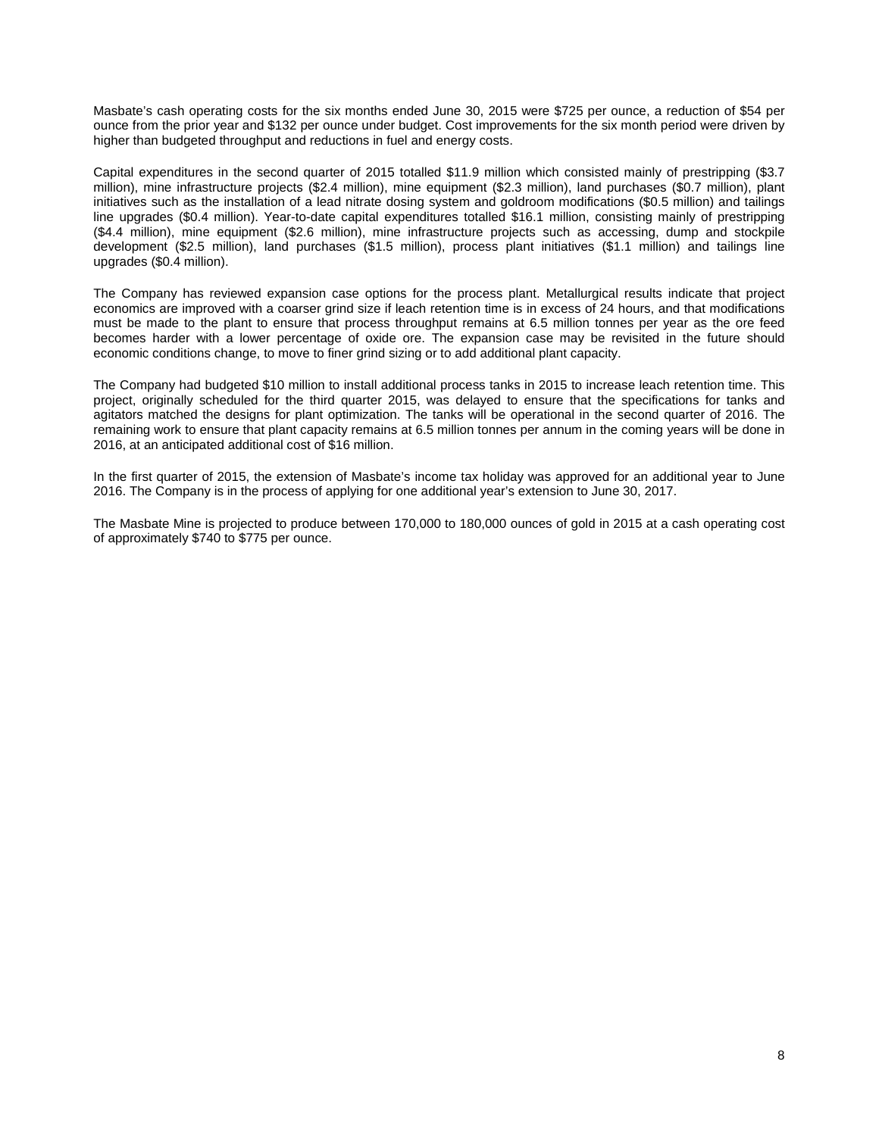Masbate's cash operating costs for the six months ended June 30, 2015 were \$725 per ounce, a reduction of \$54 per ounce from the prior year and \$132 per ounce under budget. Cost improvements for the six month period were driven by higher than budgeted throughput and reductions in fuel and energy costs.

Capital expenditures in the second quarter of 2015 totalled \$11.9 million which consisted mainly of prestripping (\$3.7 million), mine infrastructure projects (\$2.4 million), mine equipment (\$2.3 million), land purchases (\$0.7 million), plant initiatives such as the installation of a lead nitrate dosing system and goldroom modifications (\$0.5 million) and tailings line upgrades (\$0.4 million). Year-to-date capital expenditures totalled \$16.1 million, consisting mainly of prestripping (\$4.4 million), mine equipment (\$2.6 million), mine infrastructure projects such as accessing, dump and stockpile development (\$2.5 million), land purchases (\$1.5 million), process plant initiatives (\$1.1 million) and tailings line upgrades (\$0.4 million).

The Company has reviewed expansion case options for the process plant. Metallurgical results indicate that project economics are improved with a coarser grind size if leach retention time is in excess of 24 hours, and that modifications must be made to the plant to ensure that process throughput remains at 6.5 million tonnes per year as the ore feed becomes harder with a lower percentage of oxide ore. The expansion case may be revisited in the future should economic conditions change, to move to finer grind sizing or to add additional plant capacity.

The Company had budgeted \$10 million to install additional process tanks in 2015 to increase leach retention time. This project, originally scheduled for the third quarter 2015, was delayed to ensure that the specifications for tanks and agitators matched the designs for plant optimization. The tanks will be operational in the second quarter of 2016. The remaining work to ensure that plant capacity remains at 6.5 million tonnes per annum in the coming years will be done in 2016, at an anticipated additional cost of \$16 million.

In the first quarter of 2015, the extension of Masbate's income tax holiday was approved for an additional year to June 2016. The Company is in the process of applying for one additional year's extension to June 30, 2017.

The Masbate Mine is projected to produce between 170,000 to 180,000 ounces of gold in 2015 at a cash operating cost of approximately \$740 to \$775 per ounce.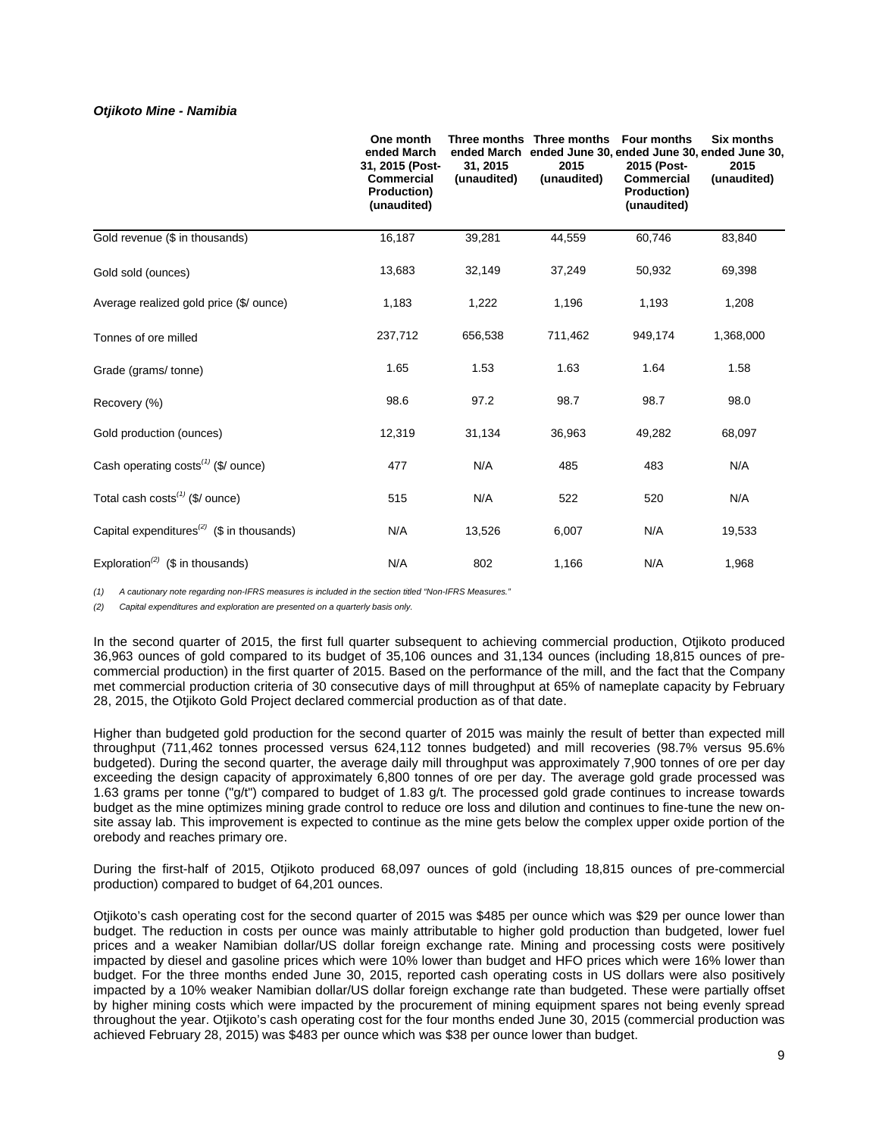### *Otjikoto Mine - Namibia*

|                                                                    | One month<br>ended March<br>31, 2015 (Post-<br><b>Commercial</b><br><b>Production)</b><br>(unaudited) | 31, 2015<br>(unaudited) | Three months Three months<br>2015<br>(unaudited) | <b>Four months</b><br>2015 (Post-<br><b>Commercial</b><br><b>Production)</b><br>(unaudited) | <b>Six months</b><br>ended March ended June 30, ended June 30, ended June 30,<br>2015<br>(unaudited) |
|--------------------------------------------------------------------|-------------------------------------------------------------------------------------------------------|-------------------------|--------------------------------------------------|---------------------------------------------------------------------------------------------|------------------------------------------------------------------------------------------------------|
| Gold revenue (\$ in thousands)                                     | 16,187                                                                                                | 39,281                  | 44,559                                           | 60,746                                                                                      | 83,840                                                                                               |
| Gold sold (ounces)                                                 | 13,683                                                                                                | 32,149                  | 37,249                                           | 50,932                                                                                      | 69,398                                                                                               |
| Average realized gold price (\$/ ounce)                            | 1,183                                                                                                 | 1,222                   | 1,196                                            | 1,193                                                                                       | 1,208                                                                                                |
| Tonnes of ore milled                                               | 237,712                                                                                               | 656,538                 | 711,462                                          | 949,174                                                                                     | 1,368,000                                                                                            |
| Grade (grams/tonne)                                                | 1.65                                                                                                  | 1.53                    | 1.63                                             | 1.64                                                                                        | 1.58                                                                                                 |
| Recovery (%)                                                       | 98.6                                                                                                  | 97.2                    | 98.7                                             | 98.7                                                                                        | 98.0                                                                                                 |
| Gold production (ounces)                                           | 12,319                                                                                                | 31,134                  | 36,963                                           | 49,282                                                                                      | 68,097                                                                                               |
| Cash operating costs <sup>(1)</sup> (\$/ ounce)                    | 477                                                                                                   | N/A                     | 485                                              | 483                                                                                         | N/A                                                                                                  |
| Total cash $costs^{(1)}$ (\$/ ounce)                               | 515                                                                                                   | N/A                     | 522                                              | 520                                                                                         | N/A                                                                                                  |
| Capital expenditures <sup><math>(2)</math></sup> (\$ in thousands) | N/A                                                                                                   | 13,526                  | 6,007                                            | N/A                                                                                         | 19,533                                                                                               |
| Exploration <sup>(2)</sup> (\$ in thousands)                       | N/A                                                                                                   | 802                     | 1,166                                            | N/A                                                                                         | 1,968                                                                                                |

*(1) A cautionary note regarding non-IFRS measures is included in the section titled "Non-IFRS Measures."*

*(2) Capital expenditures and exploration are presented on a quarterly basis only.*

In the second quarter of 2015, the first full quarter subsequent to achieving commercial production, Otjikoto produced 36,963 ounces of gold compared to its budget of 35,106 ounces and 31,134 ounces (including 18,815 ounces of precommercial production) in the first quarter of 2015. Based on the performance of the mill, and the fact that the Company met commercial production criteria of 30 consecutive days of mill throughput at 65% of nameplate capacity by February 28, 2015, the Otjikoto Gold Project declared commercial production as of that date.

Higher than budgeted gold production for the second quarter of 2015 was mainly the result of better than expected mill throughput (711,462 tonnes processed versus 624,112 tonnes budgeted) and mill recoveries (98.7% versus 95.6% budgeted). During the second quarter, the average daily mill throughput was approximately 7,900 tonnes of ore per day exceeding the design capacity of approximately 6,800 tonnes of ore per day. The average gold grade processed was 1.63 grams per tonne ("g/t") compared to budget of 1.83 g/t. The processed gold grade continues to increase towards budget as the mine optimizes mining grade control to reduce ore loss and dilution and continues to fine-tune the new onsite assay lab. This improvement is expected to continue as the mine gets below the complex upper oxide portion of the orebody and reaches primary ore.

During the first-half of 2015, Otjikoto produced 68,097 ounces of gold (including 18,815 ounces of pre-commercial production) compared to budget of 64,201 ounces.

Otjikoto's cash operating cost for the second quarter of 2015 was \$485 per ounce which was \$29 per ounce lower than budget. The reduction in costs per ounce was mainly attributable to higher gold production than budgeted, lower fuel prices and a weaker Namibian dollar/US dollar foreign exchange rate. Mining and processing costs were positively impacted by diesel and gasoline prices which were 10% lower than budget and HFO prices which were 16% lower than budget. For the three months ended June 30, 2015, reported cash operating costs in US dollars were also positively impacted by a 10% weaker Namibian dollar/US dollar foreign exchange rate than budgeted. These were partially offset by higher mining costs which were impacted by the procurement of mining equipment spares not being evenly spread throughout the year. Otjikoto's cash operating cost for the four months ended June 30, 2015 (commercial production was achieved February 28, 2015) was \$483 per ounce which was \$38 per ounce lower than budget.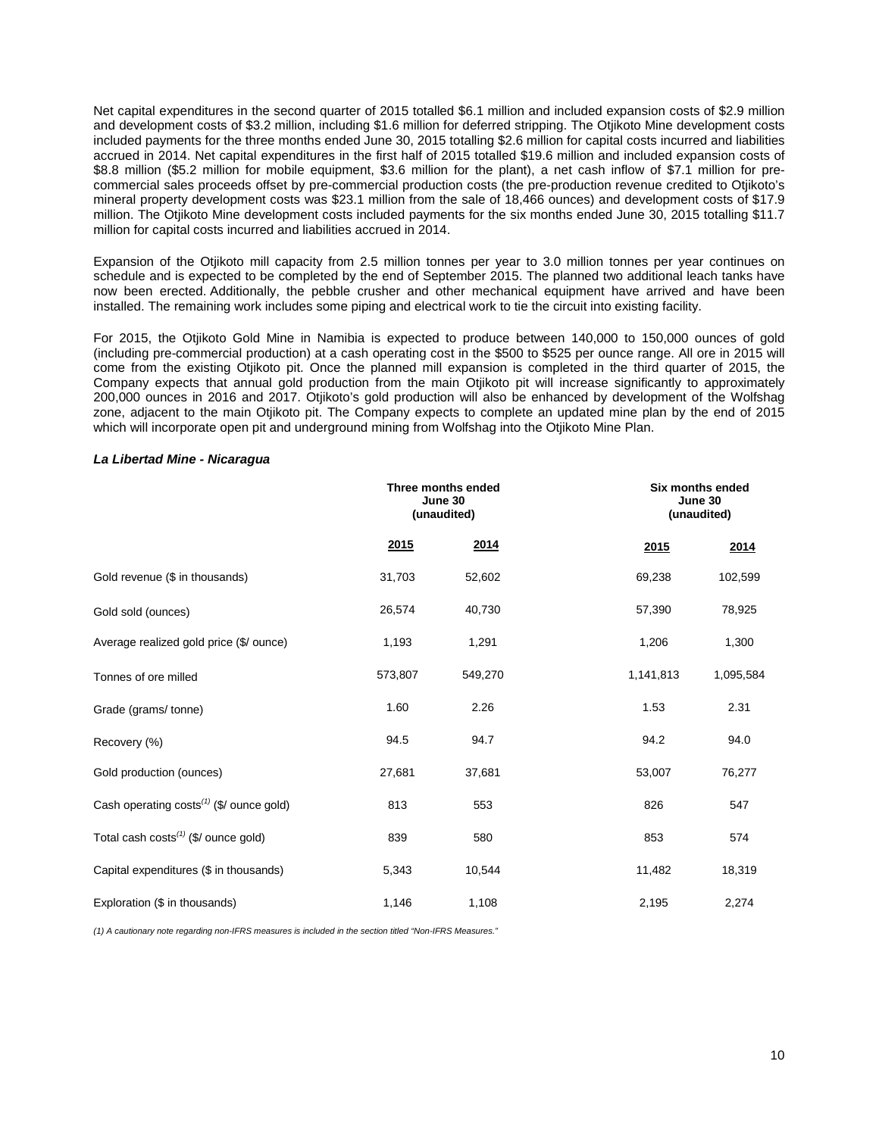Net capital expenditures in the second quarter of 2015 totalled \$6.1 million and included expansion costs of \$2.9 million and development costs of \$3.2 million, including \$1.6 million for deferred stripping. The Otjikoto Mine development costs included payments for the three months ended June 30, 2015 totalling \$2.6 million for capital costs incurred and liabilities accrued in 2014. Net capital expenditures in the first half of 2015 totalled \$19.6 million and included expansion costs of \$8.8 million (\$5.2 million for mobile equipment, \$3.6 million for the plant), a net cash inflow of \$7.1 million for precommercial sales proceeds offset by pre-commercial production costs (the pre-production revenue credited to Otjikoto's mineral property development costs was \$23.1 million from the sale of 18,466 ounces) and development costs of \$17.9 million. The Otjikoto Mine development costs included payments for the six months ended June 30, 2015 totalling \$11.7 million for capital costs incurred and liabilities accrued in 2014.

Expansion of the Otjikoto mill capacity from 2.5 million tonnes per year to 3.0 million tonnes per year continues on schedule and is expected to be completed by the end of September 2015. The planned two additional leach tanks have now been erected. Additionally, the pebble crusher and other mechanical equipment have arrived and have been installed. The remaining work includes some piping and electrical work to tie the circuit into existing facility.

For 2015, the Otjikoto Gold Mine in Namibia is expected to produce between 140,000 to 150,000 ounces of gold (including pre-commercial production) at a cash operating cost in the \$500 to \$525 per ounce range. All ore in 2015 will come from the existing Otjikoto pit. Once the planned mill expansion is completed in the third quarter of 2015, the Company expects that annual gold production from the main Otjikoto pit will increase significantly to approximately 200,000 ounces in 2016 and 2017. Otjikoto's gold production will also be enhanced by development of the Wolfshag zone, adjacent to the main Otjikoto pit. The Company expects to complete an updated mine plan by the end of 2015 which will incorporate open pit and underground mining from Wolfshag into the Otjikoto Mine Plan.

## *La Libertad Mine - Nicaragua*

|                                                  | Three months ended<br>June 30<br>(unaudited) |         |           | Six months ended<br>June 30<br>(unaudited) |  |
|--------------------------------------------------|----------------------------------------------|---------|-----------|--------------------------------------------|--|
|                                                  | <u>2015</u>                                  | 2014    | 2015      | 2014                                       |  |
| Gold revenue (\$ in thousands)                   | 31,703                                       | 52,602  | 69,238    | 102,599                                    |  |
| Gold sold (ounces)                               | 26,574                                       | 40,730  | 57,390    | 78,925                                     |  |
| Average realized gold price (\$/ ounce)          | 1,193                                        | 1,291   | 1,206     | 1,300                                      |  |
| Tonnes of ore milled                             | 573,807                                      | 549,270 | 1,141,813 | 1,095,584                                  |  |
| Grade (grams/tonne)                              | 1.60                                         | 2.26    | 1.53      | 2.31                                       |  |
| Recovery (%)                                     | 94.5                                         | 94.7    | 94.2      | 94.0                                       |  |
| Gold production (ounces)                         | 27,681                                       | 37,681  | 53,007    | 76,277                                     |  |
| Cash operating $costs^{(1)}$ (\$/ ounce gold)    | 813                                          | 553     | 826       | 547                                        |  |
| Total cash costs <sup>(1)</sup> (\$/ ounce gold) | 839                                          | 580     | 853       | 574                                        |  |
| Capital expenditures (\$ in thousands)           | 5,343                                        | 10,544  | 11,482    | 18,319                                     |  |
| Exploration (\$ in thousands)                    | 1,146                                        | 1,108   | 2,195     | 2,274                                      |  |

*(1) A cautionary note regarding non-IFRS measures is included in the section titled "Non-IFRS Measures."*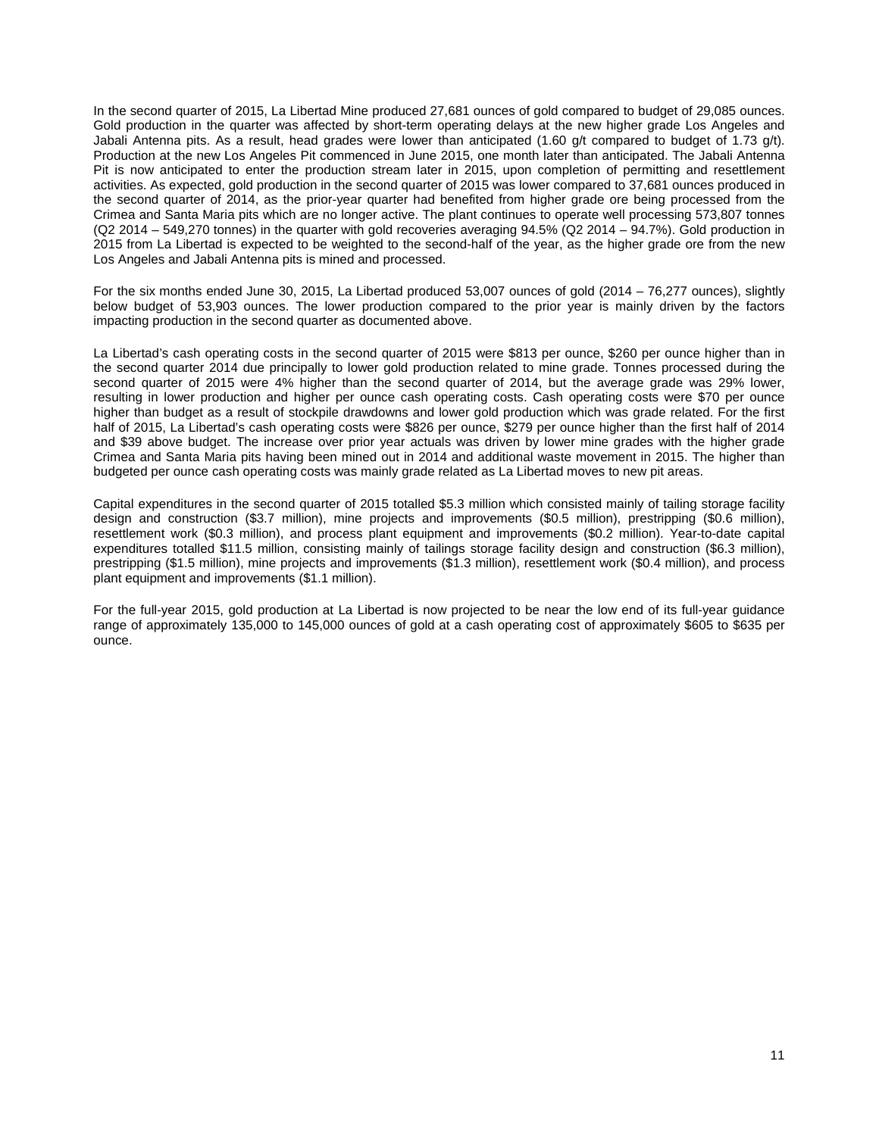In the second quarter of 2015, La Libertad Mine produced 27,681 ounces of gold compared to budget of 29,085 ounces. Gold production in the quarter was affected by short-term operating delays at the new higher grade Los Angeles and Jabali Antenna pits. As a result, head grades were lower than anticipated (1.60 g/t compared to budget of 1.73 g/t). Production at the new Los Angeles Pit commenced in June 2015, one month later than anticipated. The Jabali Antenna Pit is now anticipated to enter the production stream later in 2015, upon completion of permitting and resettlement activities. As expected, gold production in the second quarter of 2015 was lower compared to 37,681 ounces produced in the second quarter of 2014, as the prior-year quarter had benefited from higher grade ore being processed from the Crimea and Santa Maria pits which are no longer active. The plant continues to operate well processing 573,807 tonnes (Q2 2014 – 549,270 tonnes) in the quarter with gold recoveries averaging 94.5% (Q2 2014 – 94.7%). Gold production in 2015 from La Libertad is expected to be weighted to the second-half of the year, as the higher grade ore from the new Los Angeles and Jabali Antenna pits is mined and processed.

For the six months ended June 30, 2015, La Libertad produced 53,007 ounces of gold (2014 – 76,277 ounces), slightly below budget of 53,903 ounces. The lower production compared to the prior year is mainly driven by the factors impacting production in the second quarter as documented above.

La Libertad's cash operating costs in the second quarter of 2015 were \$813 per ounce, \$260 per ounce higher than in the second quarter 2014 due principally to lower gold production related to mine grade. Tonnes processed during the second quarter of 2015 were 4% higher than the second quarter of 2014, but the average grade was 29% lower, resulting in lower production and higher per ounce cash operating costs. Cash operating costs were \$70 per ounce higher than budget as a result of stockpile drawdowns and lower gold production which was grade related. For the first half of 2015, La Libertad's cash operating costs were \$826 per ounce, \$279 per ounce higher than the first half of 2014 and \$39 above budget. The increase over prior year actuals was driven by lower mine grades with the higher grade Crimea and Santa Maria pits having been mined out in 2014 and additional waste movement in 2015. The higher than budgeted per ounce cash operating costs was mainly grade related as La Libertad moves to new pit areas.

Capital expenditures in the second quarter of 2015 totalled \$5.3 million which consisted mainly of tailing storage facility design and construction (\$3.7 million), mine projects and improvements (\$0.5 million), prestripping (\$0.6 million), resettlement work (\$0.3 million), and process plant equipment and improvements (\$0.2 million). Year-to-date capital expenditures totalled \$11.5 million, consisting mainly of tailings storage facility design and construction (\$6.3 million), prestripping (\$1.5 million), mine projects and improvements (\$1.3 million), resettlement work (\$0.4 million), and process plant equipment and improvements (\$1.1 million).

For the full-year 2015, gold production at La Libertad is now projected to be near the low end of its full-year guidance range of approximately 135,000 to 145,000 ounces of gold at a cash operating cost of approximately \$605 to \$635 per ounce.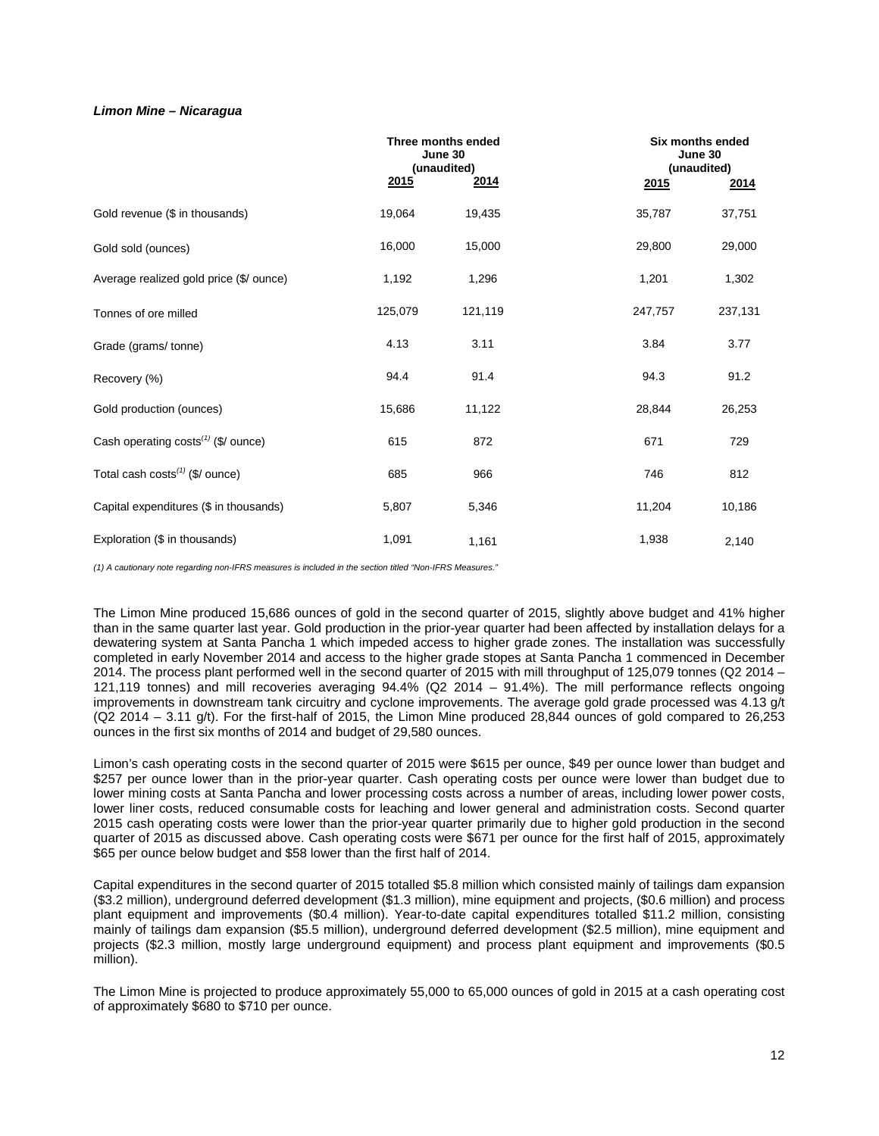# *Limon Mine – Nicaragua*

|                                         | Three months ended<br>June 30<br>(unaudited) |         |         | Six months ended<br>June 30<br>(unaudited) |  |
|-----------------------------------------|----------------------------------------------|---------|---------|--------------------------------------------|--|
|                                         | 2015                                         | 2014    | 2015    | 2014                                       |  |
| Gold revenue (\$ in thousands)          | 19,064                                       | 19,435  | 35,787  | 37,751                                     |  |
| Gold sold (ounces)                      | 16,000                                       | 15,000  | 29,800  | 29,000                                     |  |
| Average realized gold price (\$/ ounce) | 1,192                                        | 1,296   | 1,201   | 1,302                                      |  |
| Tonnes of ore milled                    | 125,079                                      | 121,119 | 247,757 | 237,131                                    |  |
| Grade (grams/tonne)                     | 4.13                                         | 3.11    | 3.84    | 3.77                                       |  |
| Recovery (%)                            | 94.4                                         | 91.4    | 94.3    | 91.2                                       |  |
| Gold production (ounces)                | 15,686                                       | 11,122  | 28,844  | 26,253                                     |  |
| Cash operating costs $(1)$ (\$/ ounce)  | 615                                          | 872     | 671     | 729                                        |  |
| Total cash $costs^{(1)}$ (\$/ ounce)    | 685                                          | 966     | 746     | 812                                        |  |
| Capital expenditures (\$ in thousands)  | 5,807                                        | 5,346   | 11,204  | 10,186                                     |  |
| Exploration (\$ in thousands)           | 1,091                                        | 1,161   | 1,938   | 2,140                                      |  |

*(1) A cautionary note regarding non-IFRS measures is included in the section titled "Non-IFRS Measures."*

The Limon Mine produced 15,686 ounces of gold in the second quarter of 2015, slightly above budget and 41% higher than in the same quarter last year. Gold production in the prior-year quarter had been affected by installation delays for a dewatering system at Santa Pancha 1 which impeded access to higher grade zones. The installation was successfully completed in early November 2014 and access to the higher grade stopes at Santa Pancha 1 commenced in December 2014. The process plant performed well in the second quarter of 2015 with mill throughput of 125,079 tonnes (Q2 2014 – 121,119 tonnes) and mill recoveries averaging 94.4% (Q2 2014 – 91.4%). The mill performance reflects ongoing improvements in downstream tank circuitry and cyclone improvements. The average gold grade processed was 4.13 g/t (Q2 2014 – 3.11 g/t). For the first-half of 2015, the Limon Mine produced 28,844 ounces of gold compared to 26,253 ounces in the first six months of 2014 and budget of 29,580 ounces.

Limon's cash operating costs in the second quarter of 2015 were \$615 per ounce, \$49 per ounce lower than budget and \$257 per ounce lower than in the prior-year quarter. Cash operating costs per ounce were lower than budget due to lower mining costs at Santa Pancha and lower processing costs across a number of areas, including lower power costs, lower liner costs, reduced consumable costs for leaching and lower general and administration costs. Second quarter 2015 cash operating costs were lower than the prior-year quarter primarily due to higher gold production in the second quarter of 2015 as discussed above. Cash operating costs were \$671 per ounce for the first half of 2015, approximately \$65 per ounce below budget and \$58 lower than the first half of 2014.

Capital expenditures in the second quarter of 2015 totalled \$5.8 million which consisted mainly of tailings dam expansion (\$3.2 million), underground deferred development (\$1.3 million), mine equipment and projects, (\$0.6 million) and process plant equipment and improvements (\$0.4 million). Year-to-date capital expenditures totalled \$11.2 million, consisting mainly of tailings dam expansion (\$5.5 million), underground deferred development (\$2.5 million), mine equipment and projects (\$2.3 million, mostly large underground equipment) and process plant equipment and improvements (\$0.5 million).

The Limon Mine is projected to produce approximately 55,000 to 65,000 ounces of gold in 2015 at a cash operating cost of approximately \$680 to \$710 per ounce.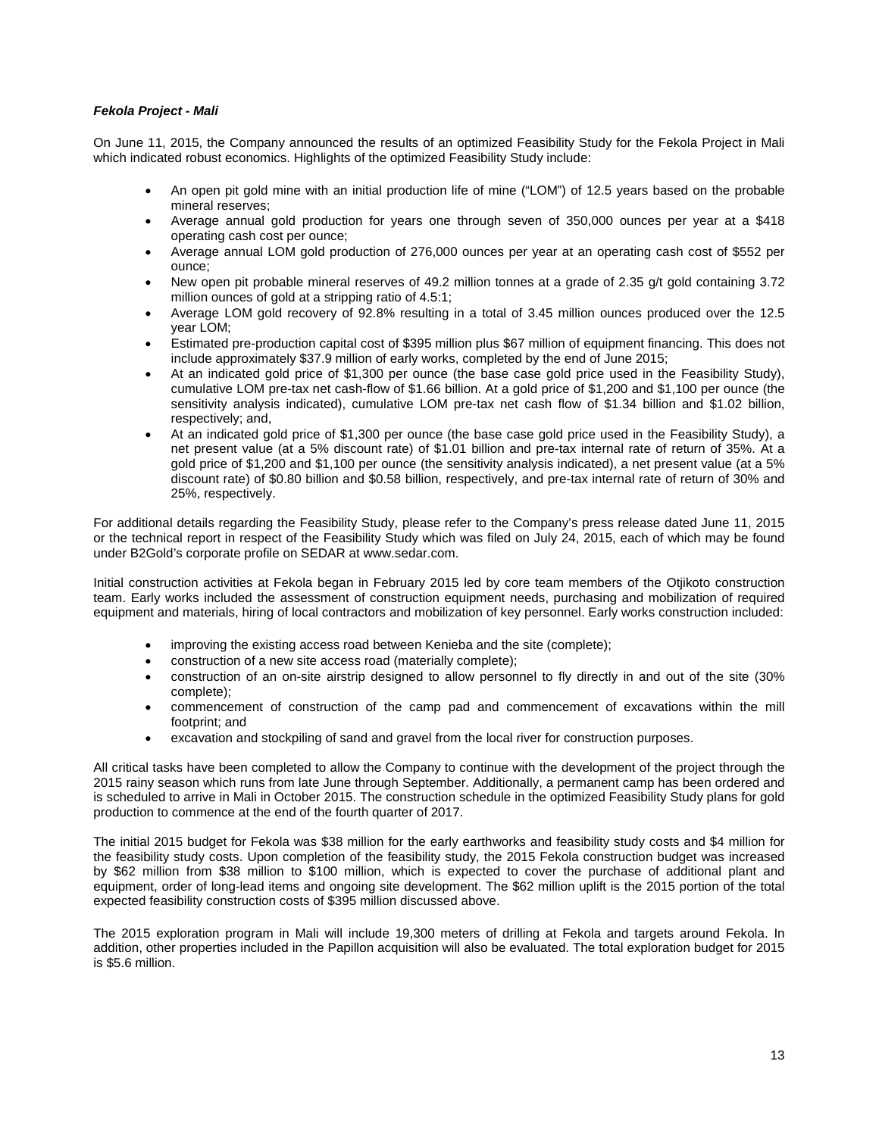# *Fekola Project - Mali*

On June 11, 2015, the Company announced the results of an optimized Feasibility Study for the Fekola Project in Mali which indicated robust economics. Highlights of the optimized Feasibility Study include:

- An open pit gold mine with an initial production life of mine ("LOM") of 12.5 years based on the probable mineral reserves;
- Average annual gold production for years one through seven of 350,000 ounces per year at a \$418 operating cash cost per ounce;
- Average annual LOM gold production of 276,000 ounces per year at an operating cash cost of \$552 per ounce;
- New open pit probable mineral reserves of 49.2 million tonnes at a grade of 2.35 g/t gold containing 3.72 million ounces of gold at a stripping ratio of 4.5:1;
- Average LOM gold recovery of 92.8% resulting in a total of 3.45 million ounces produced over the 12.5 year LOM;
- Estimated pre-production capital cost of \$395 million plus \$67 million of equipment financing. This does not include approximately \$37.9 million of early works, completed by the end of June 2015;
- At an indicated gold price of \$1,300 per ounce (the base case gold price used in the Feasibility Study), cumulative LOM pre-tax net cash-flow of \$1.66 billion. At a gold price of \$1,200 and \$1,100 per ounce (the sensitivity analysis indicated), cumulative LOM pre-tax net cash flow of \$1.34 billion and \$1.02 billion, respectively; and,
- At an indicated gold price of \$1,300 per ounce (the base case gold price used in the Feasibility Study), a net present value (at a 5% discount rate) of \$1.01 billion and pre-tax internal rate of return of 35%. At a gold price of \$1,200 and \$1,100 per ounce (the sensitivity analysis indicated), a net present value (at a 5% discount rate) of \$0.80 billion and \$0.58 billion, respectively, and pre-tax internal rate of return of 30% and 25%, respectively.

For additional details regarding the Feasibility Study, please refer to the Company's press release dated June 11, 2015 or the technical report in respect of the Feasibility Study which was filed on July 24, 2015, each of which may be found under B2Gold's corporate profile on SEDAR at [www.sedar.com.](http://www.sedar.com/) 

Initial construction activities at Fekola began in February 2015 led by core team members of the Otjikoto construction team. Early works included the assessment of construction equipment needs, purchasing and mobilization of required equipment and materials, hiring of local contractors and mobilization of key personnel. Early works construction included:

- improving the existing access road between Kenieba and the site (complete);
- construction of a new site access road (materially complete);
- construction of an on-site airstrip designed to allow personnel to fly directly in and out of the site (30% complete);
- commencement of construction of the camp pad and commencement of excavations within the mill footprint; and
- excavation and stockpiling of sand and gravel from the local river for construction purposes.

All critical tasks have been completed to allow the Company to continue with the development of the project through the 2015 rainy season which runs from late June through September. Additionally, a permanent camp has been ordered and is scheduled to arrive in Mali in October 2015. The construction schedule in the optimized Feasibility Study plans for gold production to commence at the end of the fourth quarter of 2017.

The initial 2015 budget for Fekola was \$38 million for the early earthworks and feasibility study costs and \$4 million for the feasibility study costs. Upon completion of the feasibility study, the 2015 Fekola construction budget was increased by \$62 million from \$38 million to \$100 million, which is expected to cover the purchase of additional plant and equipment, order of long-lead items and ongoing site development. The \$62 million uplift is the 2015 portion of the total expected feasibility construction costs of \$395 million discussed above.

The 2015 exploration program in Mali will include 19,300 meters of drilling at Fekola and targets around Fekola. In addition, other properties included in the Papillon acquisition will also be evaluated. The total exploration budget for 2015 is \$5.6 million.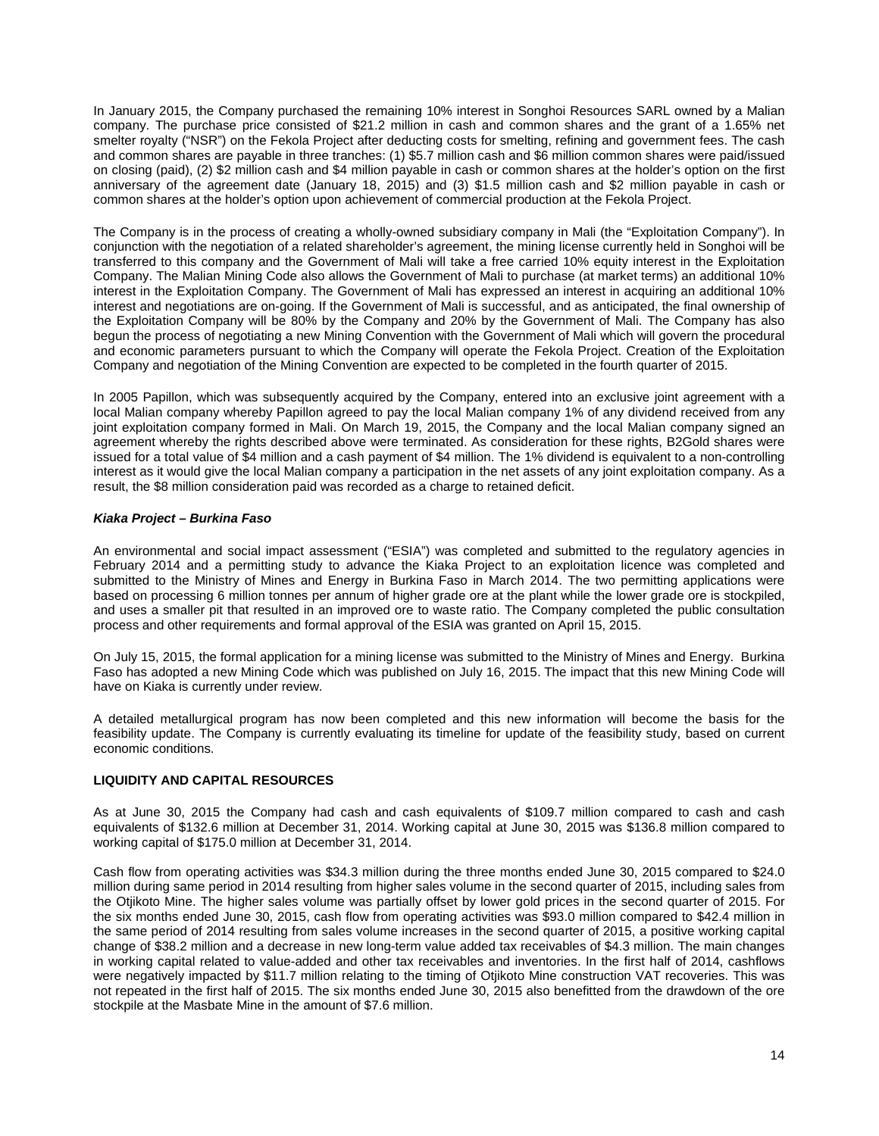In January 2015, the Company purchased the remaining 10% interest in Songhoi Resources SARL owned by a Malian company. The purchase price consisted of \$21.2 million in cash and common shares and the grant of a 1.65% net smelter royalty ("NSR") on the Fekola Project after deducting costs for smelting, refining and government fees. The cash and common shares are payable in three tranches: (1) \$5.7 million cash and \$6 million common shares were paid/issued on closing (paid), (2) \$2 million cash and \$4 million payable in cash or common shares at the holder's option on the first anniversary of the agreement date (January 18, 2015) and (3) \$1.5 million cash and \$2 million payable in cash or common shares at the holder's option upon achievement of commercial production at the Fekola Project.

The Company is in the process of creating a wholly-owned subsidiary company in Mali (the "Exploitation Company"). In conjunction with the negotiation of a related shareholder's agreement, the mining license currently held in Songhoi will be transferred to this company and the Government of Mali will take a free carried 10% equity interest in the Exploitation Company. The Malian Mining Code also allows the Government of Mali to purchase (at market terms) an additional 10% interest in the Exploitation Company. The Government of Mali has expressed an interest in acquiring an additional 10% interest and negotiations are on-going. If the Government of Mali is successful, and as anticipated, the final ownership of the Exploitation Company will be 80% by the Company and 20% by the Government of Mali. The Company has also begun the process of negotiating a new Mining Convention with the Government of Mali which will govern the procedural and economic parameters pursuant to which the Company will operate the Fekola Project. Creation of the Exploitation Company and negotiation of the Mining Convention are expected to be completed in the fourth quarter of 2015.

In 2005 Papillon, which was subsequently acquired by the Company, entered into an exclusive joint agreement with a local Malian company whereby Papillon agreed to pay the local Malian company 1% of any dividend received from any joint exploitation company formed in Mali. On March 19, 2015, the Company and the local Malian company signed an agreement whereby the rights described above were terminated. As consideration for these rights, B2Gold shares were issued for a total value of \$4 million and a cash payment of \$4 million. The 1% dividend is equivalent to a non-controlling interest as it would give the local Malian company a participation in the net assets of any joint exploitation company. As a result, the \$8 million consideration paid was recorded as a charge to retained deficit.

## *Kiaka Project – Burkina Faso*

An environmental and social impact assessment ("ESIA") was completed and submitted to the regulatory agencies in February 2014 and a permitting study to advance the Kiaka Project to an exploitation licence was completed and submitted to the Ministry of Mines and Energy in Burkina Faso in March 2014. The two permitting applications were based on processing 6 million tonnes per annum of higher grade ore at the plant while the lower grade ore is stockpiled, and uses a smaller pit that resulted in an improved ore to waste ratio. The Company completed the public consultation process and other requirements and formal approval of the ESIA was granted on April 15, 2015.

On July 15, 2015, the formal application for a mining license was submitted to the Ministry of Mines and Energy. Burkina Faso has adopted a new Mining Code which was published on July 16, 2015. The impact that this new Mining Code will have on Kiaka is currently under review.

A detailed metallurgical program has now been completed and this new information will become the basis for the feasibility update. The Company is currently evaluating its timeline for update of the feasibility study, based on current economic conditions.

# **LIQUIDITY AND CAPITAL RESOURCES**

As at June 30, 2015 the Company had cash and cash equivalents of \$109.7 million compared to cash and cash equivalents of \$132.6 million at December 31, 2014. Working capital at June 30, 2015 was \$136.8 million compared to working capital of \$175.0 million at December 31, 2014.

Cash flow from operating activities was \$34.3 million during the three months ended June 30, 2015 compared to \$24.0 million during same period in 2014 resulting from higher sales volume in the second quarter of 2015, including sales from the Otjikoto Mine. The higher sales volume was partially offset by lower gold prices in the second quarter of 2015. For the six months ended June 30, 2015, cash flow from operating activities was \$93.0 million compared to \$42.4 million in the same period of 2014 resulting from sales volume increases in the second quarter of 2015, a positive working capital change of \$38.2 million and a decrease in new long-term value added tax receivables of \$4.3 million. The main changes in working capital related to value-added and other tax receivables and inventories. In the first half of 2014, cashflows were negatively impacted by \$11.7 million relating to the timing of Otjikoto Mine construction VAT recoveries. This was not repeated in the first half of 2015. The six months ended June 30, 2015 also benefitted from the drawdown of the ore stockpile at the Masbate Mine in the amount of \$7.6 million.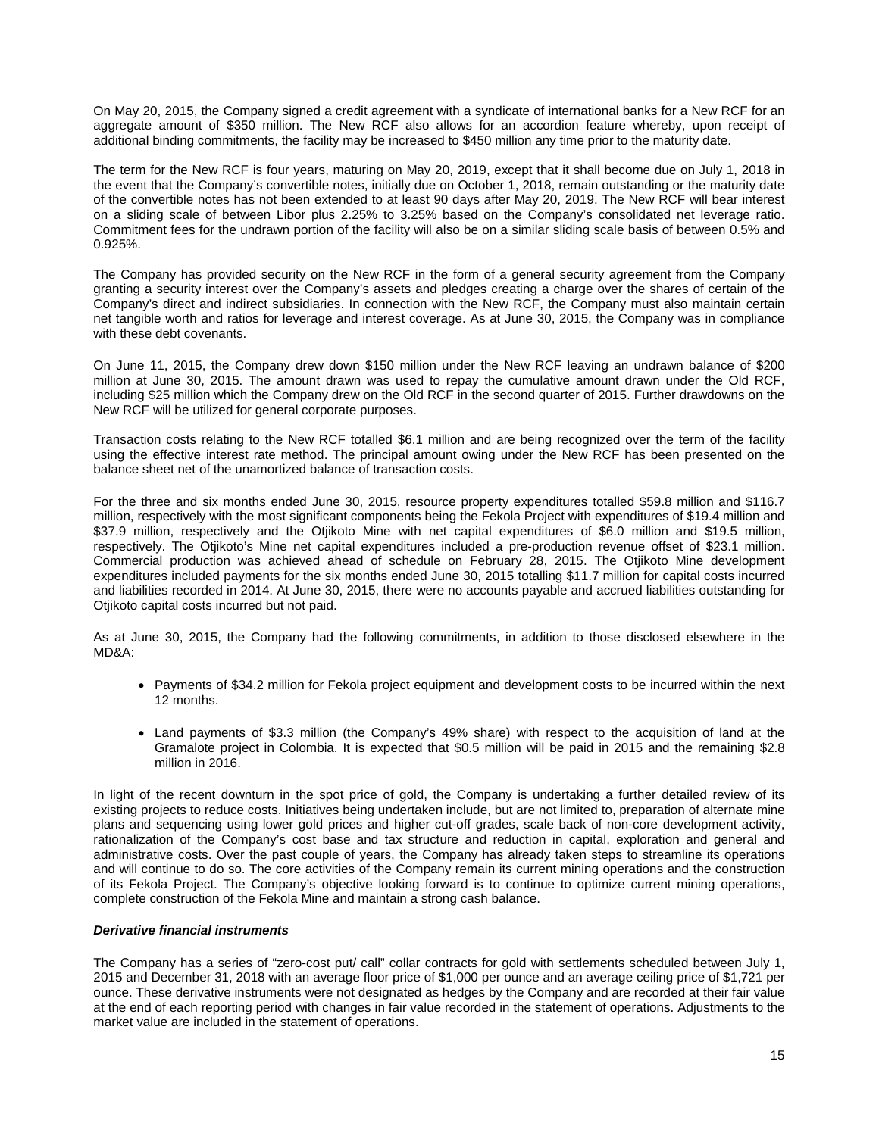On May 20, 2015, the Company signed a credit agreement with a syndicate of international banks for a New RCF for an aggregate amount of \$350 million. The New RCF also allows for an accordion feature whereby, upon receipt of additional binding commitments, the facility may be increased to \$450 million any time prior to the maturity date.

The term for the New RCF is four years, maturing on May 20, 2019, except that it shall become due on July 1, 2018 in the event that the Company's convertible notes, initially due on October 1, 2018, remain outstanding or the maturity date of the convertible notes has not been extended to at least 90 days after May 20, 2019. The New RCF will bear interest on a sliding scale of between Libor plus 2.25% to 3.25% based on the Company's consolidated net leverage ratio. Commitment fees for the undrawn portion of the facility will also be on a similar sliding scale basis of between 0.5% and 0.925%.

The Company has provided security on the New RCF in the form of a general security agreement from the Company granting a security interest over the Company's assets and pledges creating a charge over the shares of certain of the Company's direct and indirect subsidiaries. In connection with the New RCF, the Company must also maintain certain net tangible worth and ratios for leverage and interest coverage. As at June 30, 2015, the Company was in compliance with these debt covenants.

On June 11, 2015, the Company drew down \$150 million under the New RCF leaving an undrawn balance of \$200 million at June 30, 2015. The amount drawn was used to repay the cumulative amount drawn under the Old RCF, including \$25 million which the Company drew on the Old RCF in the second quarter of 2015. Further drawdowns on the New RCF will be utilized for general corporate purposes.

Transaction costs relating to the New RCF totalled \$6.1 million and are being recognized over the term of the facility using the effective interest rate method. The principal amount owing under the New RCF has been presented on the balance sheet net of the unamortized balance of transaction costs.

For the three and six months ended June 30, 2015, resource property expenditures totalled \$59.8 million and \$116.7 million, respectively with the most significant components being the Fekola Project with expenditures of \$19.4 million and \$37.9 million, respectively and the Otiikoto Mine with net capital expenditures of \$6.0 million and \$19.5 million, respectively. The Otjikoto's Mine net capital expenditures included a pre-production revenue offset of \$23.1 million. Commercial production was achieved ahead of schedule on February 28, 2015. The Otjikoto Mine development expenditures included payments for the six months ended June 30, 2015 totalling \$11.7 million for capital costs incurred and liabilities recorded in 2014. At June 30, 2015, there were no accounts payable and accrued liabilities outstanding for Otjikoto capital costs incurred but not paid.

As at June 30, 2015, the Company had the following commitments, in addition to those disclosed elsewhere in the MD&A:

- Payments of \$34.2 million for Fekola project equipment and development costs to be incurred within the next 12 months.
- Land payments of \$3.3 million (the Company's 49% share) with respect to the acquisition of land at the Gramalote project in Colombia. It is expected that \$0.5 million will be paid in 2015 and the remaining \$2.8 million in 2016.

In light of the recent downturn in the spot price of gold, the Company is undertaking a further detailed review of its existing projects to reduce costs. Initiatives being undertaken include, but are not limited to, preparation of alternate mine plans and sequencing using lower gold prices and higher cut-off grades, scale back of non-core development activity, rationalization of the Company's cost base and tax structure and reduction in capital, exploration and general and administrative costs. Over the past couple of years, the Company has already taken steps to streamline its operations and will continue to do so. The core activities of the Company remain its current mining operations and the construction of its Fekola Project. The Company's objective looking forward is to continue to optimize current mining operations, complete construction of the Fekola Mine and maintain a strong cash balance.

## *Derivative financial instruments*

The Company has a series of "zero-cost put/ call" collar contracts for gold with settlements scheduled between July 1, 2015 and December 31, 2018 with an average floor price of \$1,000 per ounce and an average ceiling price of \$1,721 per ounce. These derivative instruments were not designated as hedges by the Company and are recorded at their fair value at the end of each reporting period with changes in fair value recorded in the statement of operations. Adjustments to the market value are included in the statement of operations.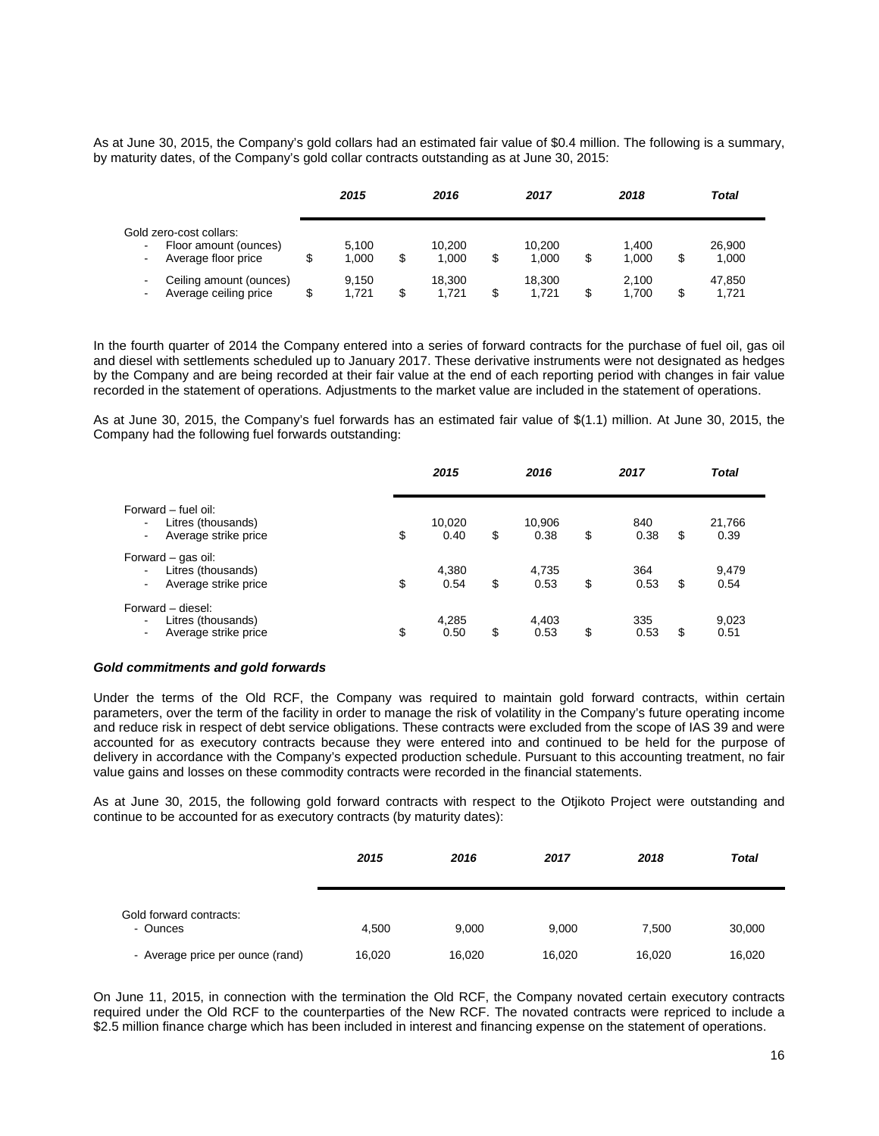As at June 30, 2015, the Company's gold collars had an estimated fair value of \$0.4 million. The following is a summary, by maturity dates, of the Company's gold collar contracts outstanding as at June 30, 2015:

|                                                                                                             | 2015           | 2016                  | 2017            | 2018                 |   | Total           |  |
|-------------------------------------------------------------------------------------------------------------|----------------|-----------------------|-----------------|----------------------|---|-----------------|--|
| Gold zero-cost collars:<br>Floor amount (ounces)<br>$\blacksquare$<br>Average floor price<br>$\blacksquare$ | 5.100<br>1.000 | \$<br>10.200<br>1.000 | 10.200<br>1.000 | \$<br>1.400<br>1.000 | S | 26,900<br>1,000 |  |
| Ceiling amount (ounces)<br>$\blacksquare$<br>Average ceiling price<br>$\blacksquare$                        | 9.150<br>1.721 | \$<br>18.300<br>1.721 | 18.300<br>1.721 | \$<br>2.100<br>1.700 |   | 47.850<br>1.721 |  |

In the fourth quarter of 2014 the Company entered into a series of forward contracts for the purchase of fuel oil, gas oil and diesel with settlements scheduled up to January 2017. These derivative instruments were not designated as hedges by the Company and are being recorded at their fair value at the end of each reporting period with changes in fair value recorded in the statement of operations. Adjustments to the market value are included in the statement of operations.

As at June 30, 2015, the Company's fuel forwards has an estimated fair value of \$(1.1) million. At June 30, 2015, the Company had the following fuel forwards outstanding:

|                                                                                                                         | 2015                 | 2016                 | 2017              |    | <b>Total</b>   |
|-------------------------------------------------------------------------------------------------------------------------|----------------------|----------------------|-------------------|----|----------------|
| Forward – fuel oil:<br>Litres (thousands)<br>$\blacksquare$<br>Average strike price<br>$\overline{\phantom{0}}$         | \$<br>10,020<br>0.40 | \$<br>10,906<br>0.38 | \$<br>840<br>0.38 | \$ | 21,766<br>0.39 |
| Forward – gas oil:<br>Litres (thousands)<br>Average strike price<br>٠.                                                  | \$<br>4,380<br>0.54  | \$<br>4,735<br>0.53  | \$<br>364<br>0.53 | \$ | 9,479<br>0.54  |
| Forward - diesel:<br>Litres (thousands)<br>$\overline{\phantom{0}}$<br>Average strike price<br>$\overline{\phantom{0}}$ | \$<br>4,285<br>0.50  | \$<br>4,403<br>0.53  | \$<br>335<br>0.53 | S  | 9,023<br>0.51  |

#### *Gold commitments and gold forwards*

Under the terms of the Old RCF, the Company was required to maintain gold forward contracts, within certain parameters, over the term of the facility in order to manage the risk of volatility in the Company's future operating income and reduce risk in respect of debt service obligations. These contracts were excluded from the scope of IAS 39 and were accounted for as executory contracts because they were entered into and continued to be held for the purpose of delivery in accordance with the Company's expected production schedule. Pursuant to this accounting treatment, no fair value gains and losses on these commodity contracts were recorded in the financial statements.

As at June 30, 2015, the following gold forward contracts with respect to the Otjikoto Project were outstanding and continue to be accounted for as executory contracts (by maturity dates):

|                                     | 2015   | 2016   | 2017   | 2018   | <b>Total</b> |
|-------------------------------------|--------|--------|--------|--------|--------------|
| Gold forward contracts:<br>- Ounces | 4.500  | 9,000  | 9,000  | 7,500  | 30,000       |
| - Average price per ounce (rand)    | 16,020 | 16,020 | 16,020 | 16,020 | 16,020       |

On June 11, 2015, in connection with the termination the Old RCF, the Company novated certain executory contracts required under the Old RCF to the counterparties of the New RCF. The novated contracts were repriced to include a \$2.5 million finance charge which has been included in interest and financing expense on the statement of operations.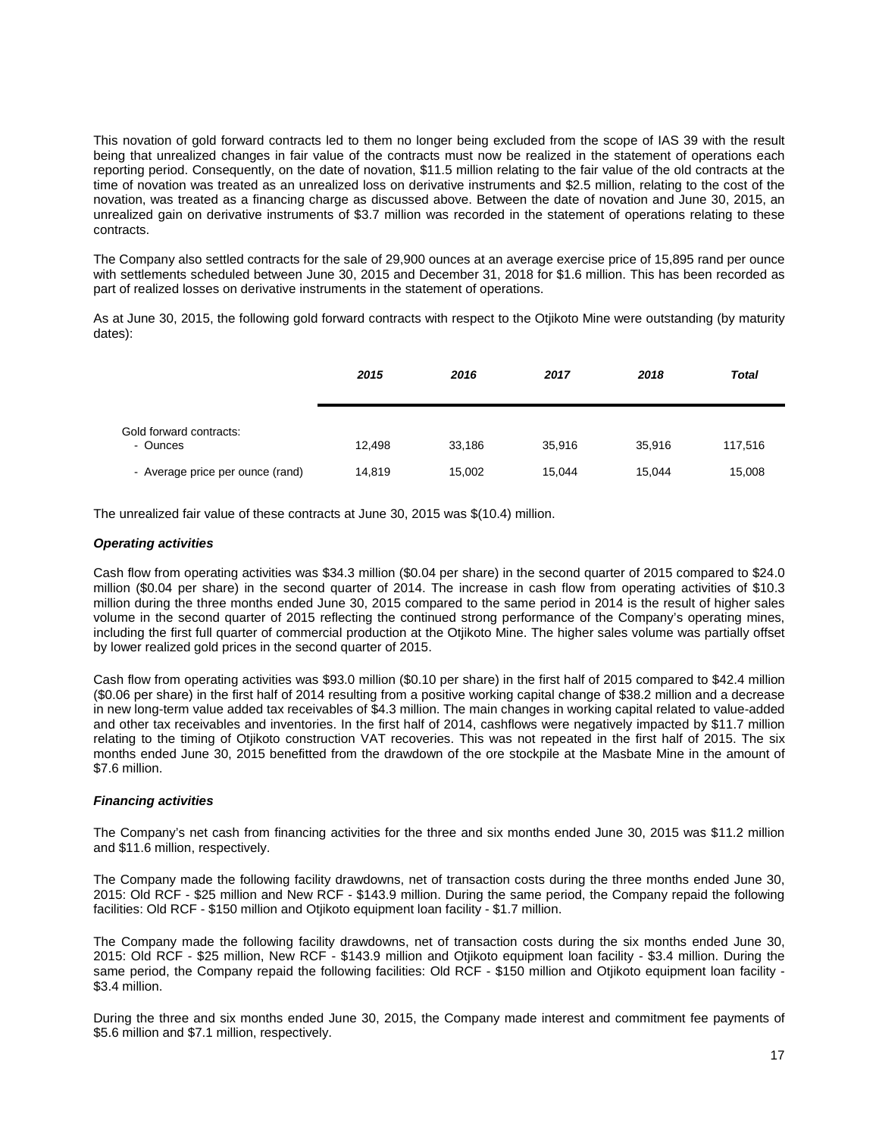This novation of gold forward contracts led to them no longer being excluded from the scope of IAS 39 with the result being that unrealized changes in fair value of the contracts must now be realized in the statement of operations each reporting period. Consequently, on the date of novation, \$11.5 million relating to the fair value of the old contracts at the time of novation was treated as an unrealized loss on derivative instruments and \$2.5 million, relating to the cost of the novation, was treated as a financing charge as discussed above. Between the date of novation and June 30, 2015, an unrealized gain on derivative instruments of \$3.7 million was recorded in the statement of operations relating to these contracts.

The Company also settled contracts for the sale of 29,900 ounces at an average exercise price of 15,895 rand per ounce with settlements scheduled between June 30, 2015 and December 31, 2018 for \$1.6 million. This has been recorded as part of realized losses on derivative instruments in the statement of operations.

As at June 30, 2015, the following gold forward contracts with respect to the Otjikoto Mine were outstanding (by maturity dates):

|                                     | 2015   | 2016   | 2017   | 2018   | <b>Total</b> |
|-------------------------------------|--------|--------|--------|--------|--------------|
| Gold forward contracts:<br>- Ounces | 12.498 | 33,186 | 35.916 | 35,916 | 117,516      |
| - Average price per ounce (rand)    | 14,819 | 15,002 | 15,044 | 15,044 | 15,008       |

The unrealized fair value of these contracts at June 30, 2015 was \$(10.4) million.

#### *Operating activities*

Cash flow from operating activities was \$34.3 million (\$0.04 per share) in the second quarter of 2015 compared to \$24.0 million (\$0.04 per share) in the second quarter of 2014. The increase in cash flow from operating activities of \$10.3 million during the three months ended June 30, 2015 compared to the same period in 2014 is the result of higher sales volume in the second quarter of 2015 reflecting the continued strong performance of the Company's operating mines, including the first full quarter of commercial production at the Otjikoto Mine. The higher sales volume was partially offset by lower realized gold prices in the second quarter of 2015.

Cash flow from operating activities was \$93.0 million (\$0.10 per share) in the first half of 2015 compared to \$42.4 million (\$0.06 per share) in the first half of 2014 resulting from a positive working capital change of \$38.2 million and a decrease in new long-term value added tax receivables of \$4.3 million. The main changes in working capital related to value-added and other tax receivables and inventories. In the first half of 2014, cashflows were negatively impacted by \$11.7 million relating to the timing of Otjikoto construction VAT recoveries. This was not repeated in the first half of 2015. The six months ended June 30, 2015 benefitted from the drawdown of the ore stockpile at the Masbate Mine in the amount of \$7.6 million.

## *Financing activities*

The Company's net cash from financing activities for the three and six months ended June 30, 2015 was \$11.2 million and \$11.6 million, respectively.

The Company made the following facility drawdowns, net of transaction costs during the three months ended June 30, 2015: Old RCF - \$25 million and New RCF - \$143.9 million. During the same period, the Company repaid the following facilities: Old RCF - \$150 million and Otjikoto equipment loan facility - \$1.7 million.

The Company made the following facility drawdowns, net of transaction costs during the six months ended June 30, 2015: Old RCF - \$25 million, New RCF - \$143.9 million and Otjikoto equipment loan facility - \$3.4 million. During the same period, the Company repaid the following facilities: Old RCF - \$150 million and Otjikoto equipment loan facility - \$3.4 million.

During the three and six months ended June 30, 2015, the Company made interest and commitment fee payments of \$5.6 million and \$7.1 million, respectively.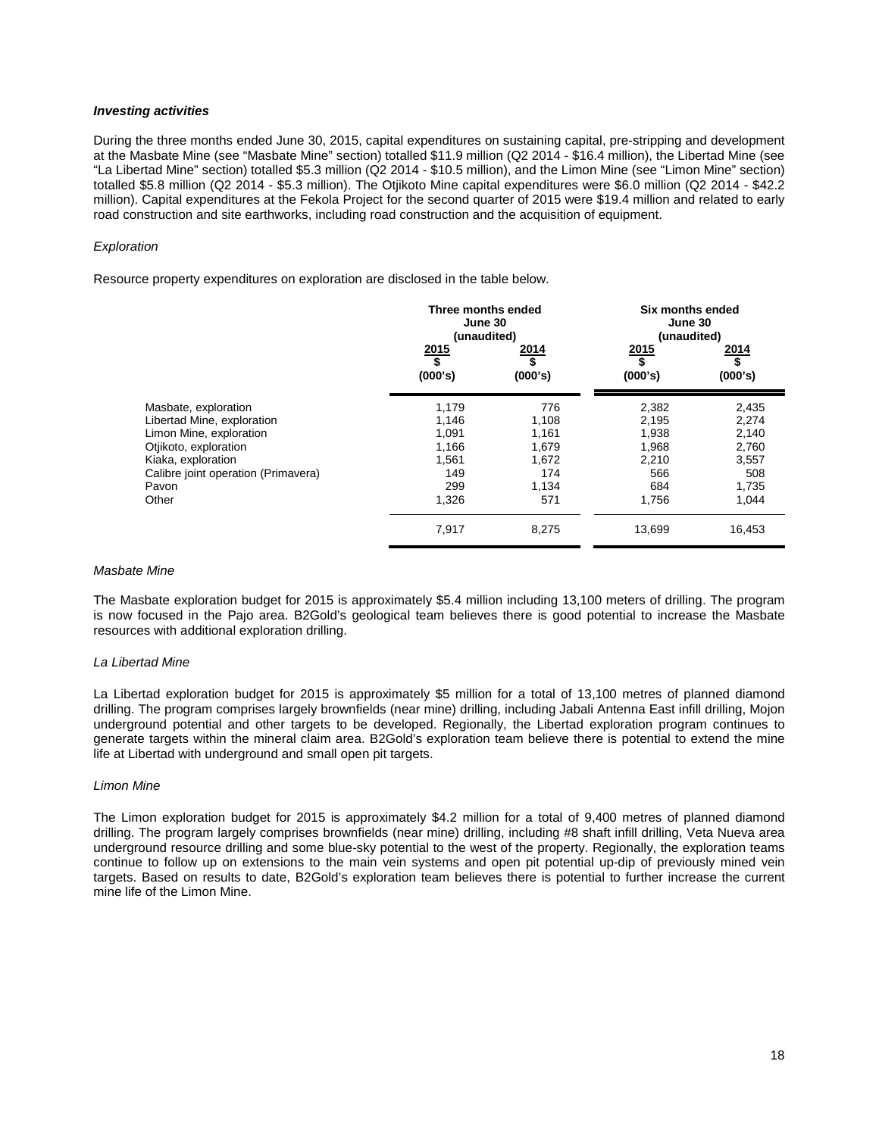#### *Investing activities*

During the three months ended June 30, 2015, capital expenditures on sustaining capital, pre-stripping and development at the Masbate Mine (see "Masbate Mine" section) totalled \$11.9 million (Q2 2014 - \$16.4 million), the Libertad Mine (see "La Libertad Mine" section) totalled \$5.3 million (Q2 2014 - \$10.5 million), and the Limon Mine (see "Limon Mine" section) totalled \$5.8 million (Q2 2014 - \$5.3 million). The Otjikoto Mine capital expenditures were \$6.0 million (Q2 2014 - \$42.2 million). Capital expenditures at the Fekola Project for the second quarter of 2015 were \$19.4 million and related to early road construction and site earthworks, including road construction and the acquisition of equipment.

### *Exploration*

Resource property expenditures on exploration are disclosed in the table below.

|                                     | Three months ended<br>June 30<br>(unaudited) |                       | Six months ended<br>June 30<br>(unaudited) |                       |  |
|-------------------------------------|----------------------------------------------|-----------------------|--------------------------------------------|-----------------------|--|
|                                     | <u>2015</u><br>\$<br>(000's)                 | 2014<br>\$<br>(000's) | <u> 2015</u><br>\$<br>(000's)              | 2014<br>\$<br>(000's) |  |
| Masbate, exploration                | 1,179                                        | 776                   | 2,382                                      | 2,435                 |  |
| Libertad Mine, exploration          | 1,146                                        | 1,108                 | 2,195                                      | 2,274                 |  |
| Limon Mine, exploration             | 1,091                                        | 1,161                 | 1,938                                      | 2,140                 |  |
| Otjikoto, exploration               | 1,166                                        | 1,679                 | 1,968                                      | 2,760                 |  |
| Kiaka, exploration                  | 1,561                                        | 1,672                 | 2,210                                      | 3,557                 |  |
| Calibre joint operation (Primavera) | 149                                          | 174                   | 566                                        | 508                   |  |
| Pavon                               | 299                                          | 1,134                 | 684                                        | 1,735                 |  |
| Other                               | 1,326                                        | 571                   | 1,756                                      | 1,044                 |  |
|                                     | 7,917                                        | 8,275                 | 13,699                                     | 16,453                |  |
|                                     |                                              |                       |                                            |                       |  |

#### *Masbate Mine*

The Masbate exploration budget for 2015 is approximately \$5.4 million including 13,100 meters of drilling. The program is now focused in the Pajo area. B2Gold's geological team believes there is good potential to increase the Masbate resources with additional exploration drilling.

#### *La Libertad Mine*

La Libertad exploration budget for 2015 is approximately \$5 million for a total of 13,100 metres of planned diamond drilling. The program comprises largely brownfields (near mine) drilling, including Jabali Antenna East infill drilling, Mojon underground potential and other targets to be developed. Regionally, the Libertad exploration program continues to generate targets within the mineral claim area. B2Gold's exploration team believe there is potential to extend the mine life at Libertad with underground and small open pit targets.

#### *Limon Mine*

The Limon exploration budget for 2015 is approximately \$4.2 million for a total of 9,400 metres of planned diamond drilling. The program largely comprises brownfields (near mine) drilling, including #8 shaft infill drilling, Veta Nueva area underground resource drilling and some blue-sky potential to the west of the property. Regionally, the exploration teams continue to follow up on extensions to the main vein systems and open pit potential up-dip of previously mined vein targets. Based on results to date, B2Gold's exploration team believes there is potential to further increase the current mine life of the Limon Mine.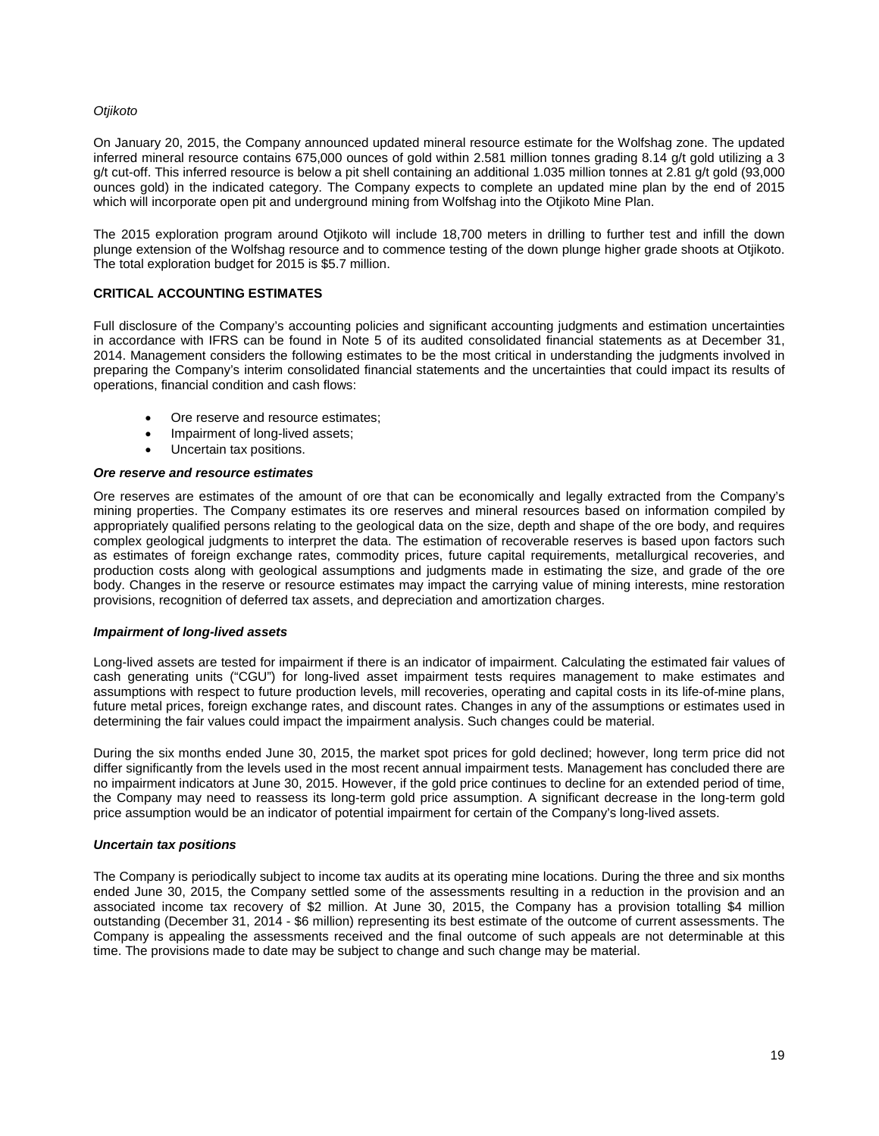## *Otjikoto*

On January 20, 2015, the Company announced updated mineral resource estimate for the Wolfshag zone. The updated inferred mineral resource contains 675,000 ounces of gold within 2.581 million tonnes grading 8.14 g/t gold utilizing a 3 g/t cut-off. This inferred resource is below a pit shell containing an additional 1.035 million tonnes at 2.81 g/t gold (93,000 ounces gold) in the indicated category. The Company expects to complete an updated mine plan by the end of 2015 which will incorporate open pit and underground mining from Wolfshag into the Otjikoto Mine Plan.

The 2015 exploration program around Otjikoto will include 18,700 meters in drilling to further test and infill the down plunge extension of the Wolfshag resource and to commence testing of the down plunge higher grade shoots at Otjikoto. The total exploration budget for 2015 is \$5.7 million.

# **CRITICAL ACCOUNTING ESTIMATES**

Full disclosure of the Company's accounting policies and significant accounting judgments and estimation uncertainties in accordance with IFRS can be found in Note 5 of its audited consolidated financial statements as at December 31, 2014. Management considers the following estimates to be the most critical in understanding the judgments involved in preparing the Company's interim consolidated financial statements and the uncertainties that could impact its results of operations, financial condition and cash flows:

- Ore reserve and resource estimates;
- Impairment of long-lived assets;
- Uncertain tax positions.

#### *Ore reserve and resource estimates*

Ore reserves are estimates of the amount of ore that can be economically and legally extracted from the Company's mining properties. The Company estimates its ore reserves and mineral resources based on information compiled by appropriately qualified persons relating to the geological data on the size, depth and shape of the ore body, and requires complex geological judgments to interpret the data. The estimation of recoverable reserves is based upon factors such as estimates of foreign exchange rates, commodity prices, future capital requirements, metallurgical recoveries, and production costs along with geological assumptions and judgments made in estimating the size, and grade of the ore body. Changes in the reserve or resource estimates may impact the carrying value of mining interests, mine restoration provisions, recognition of deferred tax assets, and depreciation and amortization charges.

## *Impairment of long-lived assets*

Long-lived assets are tested for impairment if there is an indicator of impairment. Calculating the estimated fair values of cash generating units ("CGU") for long-lived asset impairment tests requires management to make estimates and assumptions with respect to future production levels, mill recoveries, operating and capital costs in its life-of-mine plans, future metal prices, foreign exchange rates, and discount rates. Changes in any of the assumptions or estimates used in determining the fair values could impact the impairment analysis. Such changes could be material.

During the six months ended June 30, 2015, the market spot prices for gold declined; however, long term price did not differ significantly from the levels used in the most recent annual impairment tests. Management has concluded there are no impairment indicators at June 30, 2015. However, if the gold price continues to decline for an extended period of time, the Company may need to reassess its long-term gold price assumption. A significant decrease in the long-term gold price assumption would be an indicator of potential impairment for certain of the Company's long-lived assets.

## *Uncertain tax positions*

The Company is periodically subject to income tax audits at its operating mine locations. During the three and six months ended June 30, 2015, the Company settled some of the assessments resulting in a reduction in the provision and an associated income tax recovery of \$2 million. At June 30, 2015, the Company has a provision totalling \$4 million outstanding (December 31, 2014 - \$6 million) representing its best estimate of the outcome of current assessments. The Company is appealing the assessments received and the final outcome of such appeals are not determinable at this time. The provisions made to date may be subject to change and such change may be material.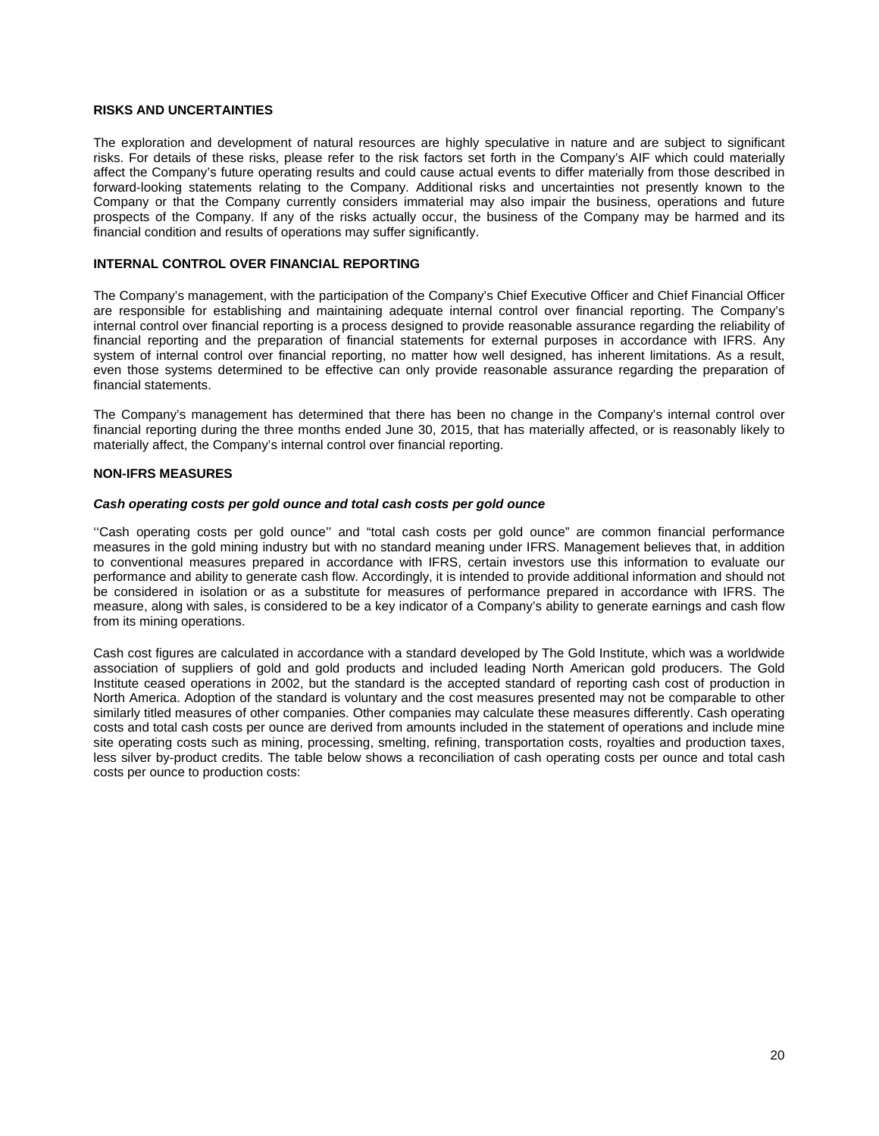## **RISKS AND UNCERTAINTIES**

The exploration and development of natural resources are highly speculative in nature and are subject to significant risks. For details of these risks, please refer to the risk factors set forth in the Company's AIF which could materially affect the Company's future operating results and could cause actual events to differ materially from those described in forward-looking statements relating to the Company. Additional risks and uncertainties not presently known to the Company or that the Company currently considers immaterial may also impair the business, operations and future prospects of the Company. If any of the risks actually occur, the business of the Company may be harmed and its financial condition and results of operations may suffer significantly.

## **INTERNAL CONTROL OVER FINANCIAL REPORTING**

The Company's management, with the participation of the Company's Chief Executive Officer and Chief Financial Officer are responsible for establishing and maintaining adequate internal control over financial reporting. The Company's internal control over financial reporting is a process designed to provide reasonable assurance regarding the reliability of financial reporting and the preparation of financial statements for external purposes in accordance with IFRS. Any system of internal control over financial reporting, no matter how well designed, has inherent limitations. As a result, even those systems determined to be effective can only provide reasonable assurance regarding the preparation of financial statements.

The Company's management has determined that there has been no change in the Company's internal control over financial reporting during the three months ended June 30, 2015, that has materially affected, or is reasonably likely to materially affect, the Company's internal control over financial reporting.

## **NON-IFRS MEASURES**

## *Cash operating costs per gold ounce and total cash costs per gold ounce*

''Cash operating costs per gold ounce'' and "total cash costs per gold ounce" are common financial performance measures in the gold mining industry but with no standard meaning under IFRS. Management believes that, in addition to conventional measures prepared in accordance with IFRS, certain investors use this information to evaluate our performance and ability to generate cash flow. Accordingly, it is intended to provide additional information and should not be considered in isolation or as a substitute for measures of performance prepared in accordance with IFRS. The measure, along with sales, is considered to be a key indicator of a Company's ability to generate earnings and cash flow from its mining operations.

Cash cost figures are calculated in accordance with a standard developed by The Gold Institute, which was a worldwide association of suppliers of gold and gold products and included leading North American gold producers. The Gold Institute ceased operations in 2002, but the standard is the accepted standard of reporting cash cost of production in North America. Adoption of the standard is voluntary and the cost measures presented may not be comparable to other similarly titled measures of other companies. Other companies may calculate these measures differently. Cash operating costs and total cash costs per ounce are derived from amounts included in the statement of operations and include mine site operating costs such as mining, processing, smelting, refining, transportation costs, royalties and production taxes, less silver by-product credits. The table below shows a reconciliation of cash operating costs per ounce and total cash costs per ounce to production costs: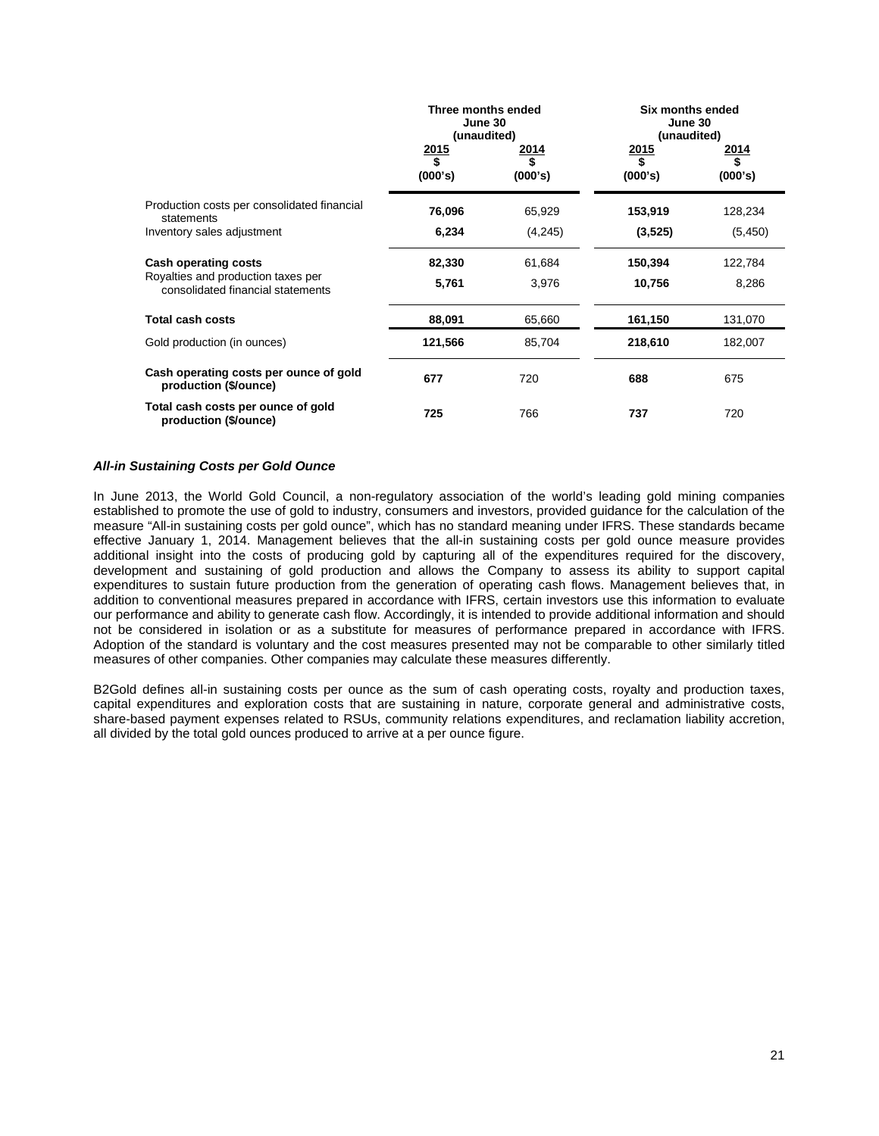|                                                                         | Three months ended<br>June 30<br>(unaudited) |                 | Six months ended<br>June 30<br>(unaudited) |                                |
|-------------------------------------------------------------------------|----------------------------------------------|-----------------|--------------------------------------------|--------------------------------|
|                                                                         | $\frac{2015}{$}$<br>(000's)                  | 2014<br>(000's) | $\frac{2015}{$}$<br>(000's)                | <u> 2014</u><br>\$.<br>(000's) |
| Production costs per consolidated financial<br>statements               | 76,096                                       | 65,929          | 153,919                                    | 128,234                        |
| Inventory sales adjustment                                              | 6,234                                        | (4,245)         | (3, 525)                                   | (5, 450)                       |
| <b>Cash operating costs</b>                                             | 82,330                                       | 61,684          | 150,394                                    | 122,784                        |
| Royalties and production taxes per<br>consolidated financial statements | 5,761                                        | 3,976           | 10,756                                     | 8,286                          |
| <b>Total cash costs</b>                                                 | 88,091                                       | 65,660          | 161,150                                    | 131,070                        |
| Gold production (in ounces)                                             | 121,566                                      | 85,704          | 218,610                                    | 182,007                        |
| Cash operating costs per ounce of gold<br>production (\$/ounce)         | 677                                          | 720             | 688                                        | 675                            |
| Total cash costs per ounce of gold<br>production (\$/ounce)             | 725                                          | 766             | 737                                        | 720                            |

## *All-in Sustaining Costs per Gold Ounce*

In June 2013, the World Gold Council, a non-regulatory association of the world's leading gold mining companies established to promote the use of gold to industry, consumers and investors, provided guidance for the calculation of the measure "All-in sustaining costs per gold ounce", which has no standard meaning under IFRS. These standards became effective January 1, 2014. Management believes that the all-in sustaining costs per gold ounce measure provides additional insight into the costs of producing gold by capturing all of the expenditures required for the discovery, development and sustaining of gold production and allows the Company to assess its ability to support capital expenditures to sustain future production from the generation of operating cash flows. Management believes that, in addition to conventional measures prepared in accordance with IFRS, certain investors use this information to evaluate our performance and ability to generate cash flow. Accordingly, it is intended to provide additional information and should not be considered in isolation or as a substitute for measures of performance prepared in accordance with IFRS. Adoption of the standard is voluntary and the cost measures presented may not be comparable to other similarly titled measures of other companies. Other companies may calculate these measures differently.

B2Gold defines all-in sustaining costs per ounce as the sum of cash operating costs, royalty and production taxes, capital expenditures and exploration costs that are sustaining in nature, corporate general and administrative costs, share-based payment expenses related to RSUs, community relations expenditures, and reclamation liability accretion, all divided by the total gold ounces produced to arrive at a per ounce figure.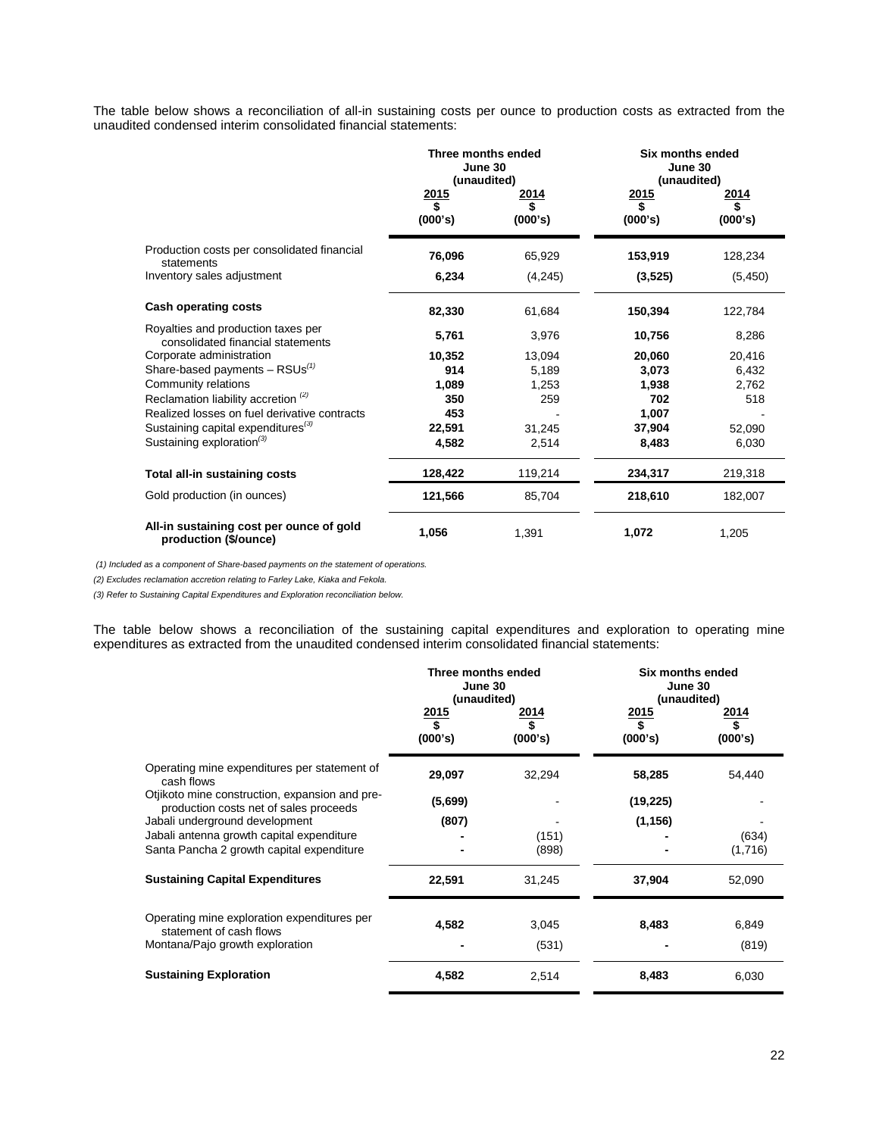The table below shows a reconciliation of all-in sustaining costs per ounce to production costs as extracted from the unaudited condensed interim consolidated financial statements:

|                                                                         | Three months ended<br>June 30<br>(unaudited)<br>2015<br>2014<br>\$<br>\$<br>(000's)<br>(000's) |         | Six months ended<br>June 30<br>(unaudited)<br>2015<br>\$<br>(000's) | 2014<br>\$<br>(000's) |  |
|-------------------------------------------------------------------------|------------------------------------------------------------------------------------------------|---------|---------------------------------------------------------------------|-----------------------|--|
| Production costs per consolidated financial<br>statements               | 76,096                                                                                         | 65,929  | 153,919                                                             | 128,234               |  |
| Inventory sales adjustment                                              | 6,234                                                                                          | (4,245) | (3,525)                                                             | (5, 450)              |  |
| <b>Cash operating costs</b>                                             | 82,330                                                                                         | 61,684  | 150,394                                                             | 122,784               |  |
| Royalties and production taxes per<br>consolidated financial statements | 5,761                                                                                          | 3,976   | 10,756                                                              | 8,286                 |  |
| Corporate administration                                                | 10,352                                                                                         | 13,094  | 20,060                                                              | 20,416                |  |
| Share-based payments $-$ RSUs <sup>(1)</sup>                            | 914                                                                                            | 5.189   | 3,073                                                               | 6,432                 |  |
| Community relations                                                     | 1,089                                                                                          | 1.253   | 1,938                                                               | 2.762                 |  |
| Reclamation liability accretion <sup>(2)</sup>                          | 350                                                                                            | 259     | 702                                                                 | 518                   |  |
| Realized losses on fuel derivative contracts                            | 453                                                                                            |         | 1,007                                                               |                       |  |
| Sustaining capital expenditures <sup>(3)</sup>                          | 22,591                                                                                         | 31,245  | 37,904                                                              | 52,090                |  |
| Sustaining exploration <sup>(3)</sup>                                   | 4,582                                                                                          | 2,514   | 8,483                                                               | 6,030                 |  |
| Total all-in sustaining costs                                           | 128,422                                                                                        | 119,214 | 234,317                                                             | 219,318               |  |
| Gold production (in ounces)                                             | 121,566                                                                                        | 85,704  | 218,610                                                             | 182,007               |  |
| All-in sustaining cost per ounce of gold<br>production (\$/ounce)       | 1,056                                                                                          | 1,391   | 1,072                                                               | 1,205                 |  |

*(1) Included as a component of Share-based payments on the statement of operations.* 

*(2) Excludes reclamation accretion relating to Farley Lake, Kiaka and Fekola.*

*(3) Refer to Sustaining Capital Expenditures and Exploration reconciliation below.*

The table below shows a reconciliation of the sustaining capital expenditures and exploration to operating mine expenditures as extracted from the unaudited condensed interim consolidated financial statements:

|                                                                                          | Three months ended<br>June 30<br>(unaudited)<br>2015 | 2014           | Six months ended<br>June 30<br>(unaudited)<br><u>2015</u><br>2014 |                  |  |
|------------------------------------------------------------------------------------------|------------------------------------------------------|----------------|-------------------------------------------------------------------|------------------|--|
|                                                                                          | \$<br>(000's)                                        | (000's)        | \$<br>(000's)                                                     | (000's)          |  |
| Operating mine expenditures per statement of<br>cash flows                               | 29,097                                               | 32,294         | 58,285                                                            | 54,440           |  |
| Otjikoto mine construction, expansion and pre-<br>production costs net of sales proceeds | (5,699)                                              |                | (19, 225)                                                         |                  |  |
| Jabali underground development                                                           | (807)                                                |                | (1, 156)                                                          |                  |  |
| Jabali antenna growth capital expenditure<br>Santa Pancha 2 growth capital expenditure   |                                                      | (151)<br>(898) |                                                                   | (634)<br>(1,716) |  |
| <b>Sustaining Capital Expenditures</b>                                                   | 22,591                                               | 31,245         | 37,904                                                            | 52,090           |  |
| Operating mine exploration expenditures per<br>statement of cash flows                   | 4,582                                                | 3,045          | 8,483                                                             | 6,849            |  |
| Montana/Pajo growth exploration                                                          |                                                      | (531)          |                                                                   | (819)            |  |
| <b>Sustaining Exploration</b>                                                            | 4,582                                                | 2,514          | 8,483                                                             | 6,030            |  |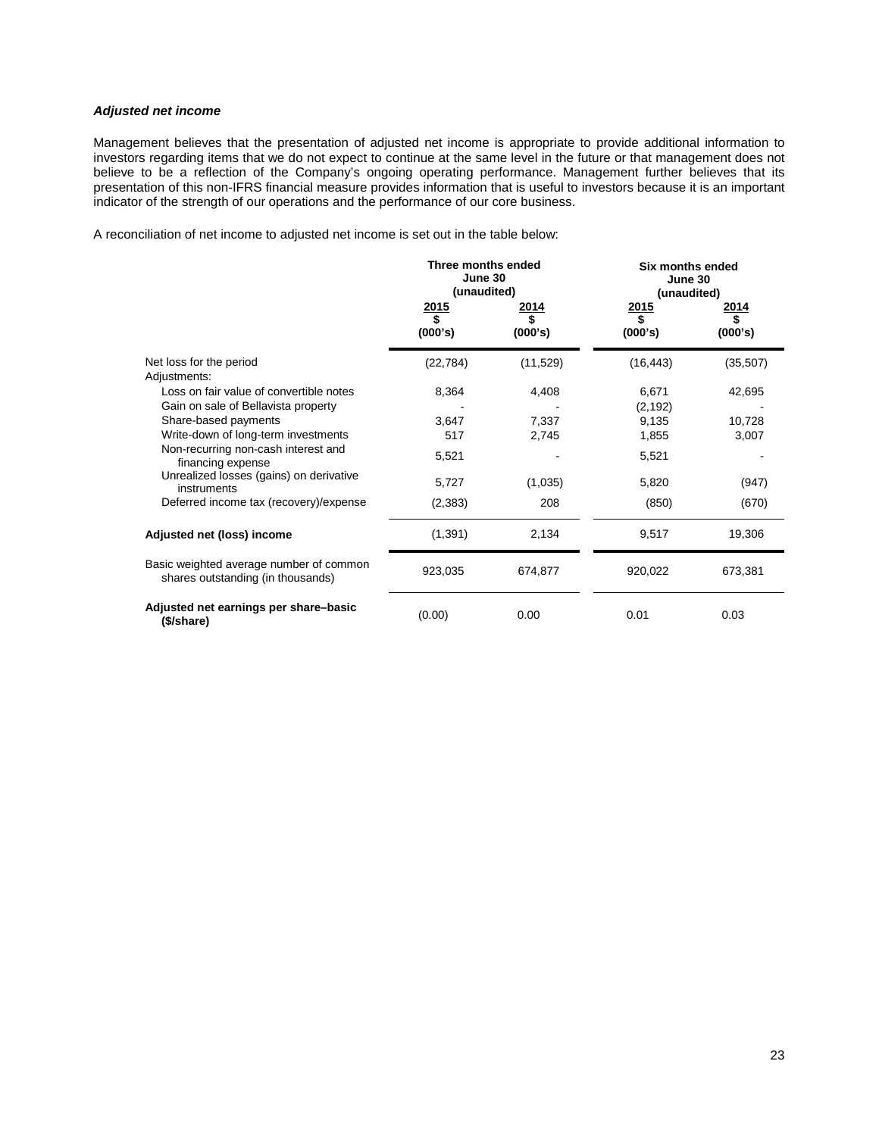# *Adjusted net income*

Management believes that the presentation of adjusted net income is appropriate to provide additional information to investors regarding items that we do not expect to continue at the same level in the future or that management does not believe to be a reflection of the Company's ongoing operating performance. Management further believes that its presentation of this non-IFRS financial measure provides information that is useful to investors because it is an important indicator of the strength of our operations and the performance of our core business.

A reconciliation of net income to adjusted net income is set out in the table below:

|                                                                              | Three months ended<br>June 30<br>(unaudited) |                 | Six months ended<br>June 30<br>(unaudited) |                               |  |
|------------------------------------------------------------------------------|----------------------------------------------|-----------------|--------------------------------------------|-------------------------------|--|
|                                                                              | 2015<br>\$<br>(000's)                        | 2014<br>(000's) | 2015<br>\$<br>(000's)                      | <u> 2014</u><br>\$<br>(000's) |  |
| Net loss for the period<br>Adjustments:                                      | (22, 784)                                    | (11, 529)       | (16, 443)                                  | (35, 507)                     |  |
| Loss on fair value of convertible notes                                      | 8,364                                        | 4,408           | 6,671                                      | 42,695                        |  |
| Gain on sale of Bellavista property                                          |                                              |                 | (2, 192)                                   |                               |  |
| Share-based payments                                                         | 3,647                                        | 7,337           | 9,135                                      | 10,728                        |  |
| Write-down of long-term investments                                          | 517                                          | 2,745           | 1,855                                      | 3,007                         |  |
| Non-recurring non-cash interest and<br>financing expense                     | 5,521                                        |                 | 5,521                                      |                               |  |
| Unrealized losses (gains) on derivative<br>instruments                       | 5,727                                        | (1,035)         | 5,820                                      | (947)                         |  |
| Deferred income tax (recovery)/expense                                       | (2, 383)                                     | 208             | (850)                                      | (670)                         |  |
| Adjusted net (loss) income                                                   | (1, 391)                                     | 2,134           | 9,517                                      | 19,306                        |  |
| Basic weighted average number of common<br>shares outstanding (in thousands) | 923,035                                      | 674,877         | 920,022                                    | 673,381                       |  |
| Adjusted net earnings per share-basic<br>(\$/share)                          | (0.00)                                       | 0.00            | 0.01                                       | 0.03                          |  |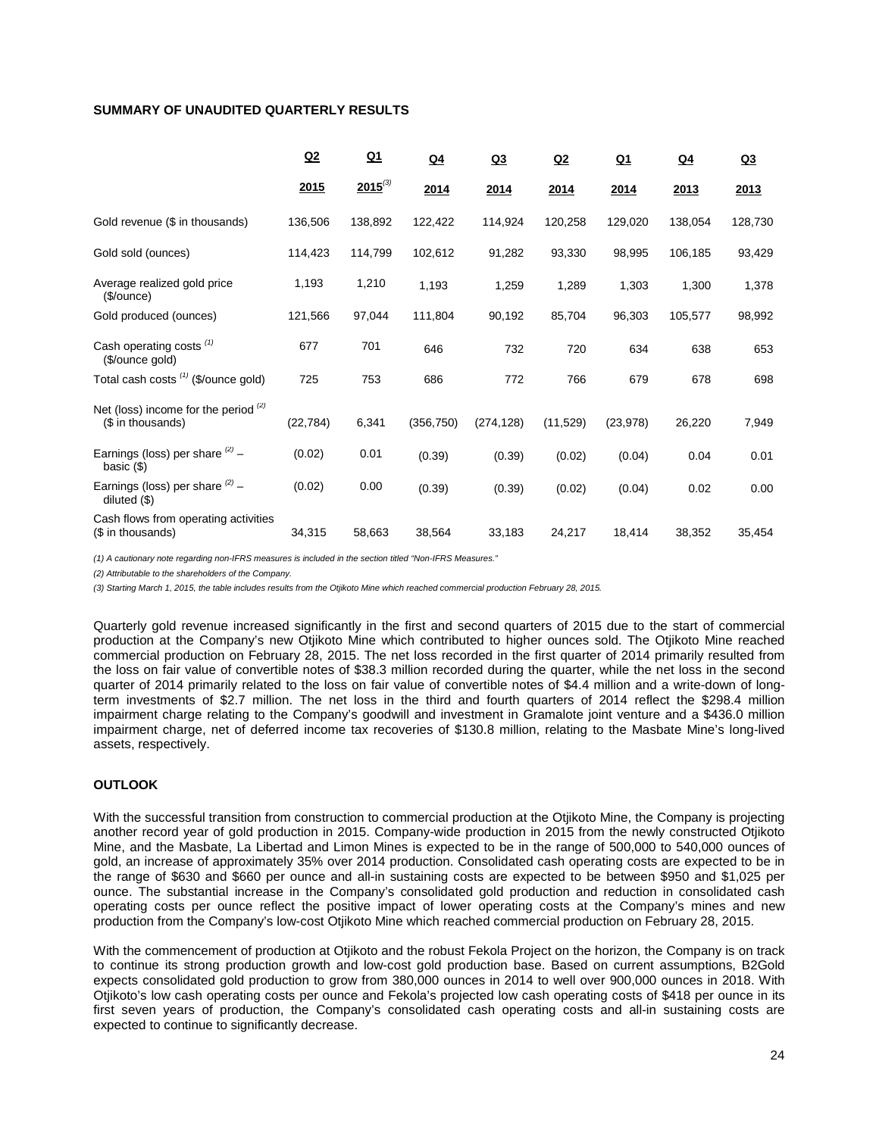# **SUMMARY OF UNAUDITED QUARTERLY RESULTS**

|                                                             | Q2        | $Q_1$        | $Q_4$      | Q <sub>3</sub> | Q2       | <u>Q1</u> | Q <sub>4</sub> | Q3      |
|-------------------------------------------------------------|-----------|--------------|------------|----------------|----------|-----------|----------------|---------|
|                                                             | 2015      | $2015^{(3)}$ | 2014       | 2014           | 2014     | 2014      | 2013           | 2013    |
| Gold revenue (\$ in thousands)                              | 136,506   | 138,892      | 122,422    | 114,924        | 120,258  | 129,020   | 138,054        | 128,730 |
| Gold sold (ounces)                                          | 114,423   | 114,799      | 102,612    | 91,282         | 93,330   | 98,995    | 106,185        | 93,429  |
| Average realized gold price<br>(\$/ounce)                   | 1,193     | 1,210        | 1,193      | 1,259          | 1,289    | 1,303     | 1,300          | 1,378   |
| Gold produced (ounces)                                      | 121,566   | 97,044       | 111,804    | 90,192         | 85,704   | 96,303    | 105,577        | 98,992  |
| Cash operating costs <sup>(1)</sup><br>(\$/ounce gold)      | 677       | 701          | 646        | 732            | 720      | 634       | 638            | 653     |
| Total cash costs (1) (\$/ounce gold)                        | 725       | 753          | 686        | 772            | 766      | 679       | 678            | 698     |
| Net (loss) income for the period $(2)$<br>(\$ in thousands) | (22, 784) | 6,341        | (356, 750) | (274, 128)     | (11,529) | (23, 978) | 26,220         | 7,949   |
| Earnings (loss) per share $(2)$ -<br>basic $(\$)$           | (0.02)    | 0.01         | (0.39)     | (0.39)         | (0.02)   | (0.04)    | 0.04           | 0.01    |
| Earnings (loss) per share $(2)$ -<br>diluted $($ \$)        | (0.02)    | 0.00         | (0.39)     | (0.39)         | (0.02)   | (0.04)    | 0.02           | 0.00    |
| Cash flows from operating activities<br>(\$ in thousands)   | 34,315    | 58,663       | 38,564     | 33,183         | 24,217   | 18,414    | 38,352         | 35,454  |

*(1) A cautionary note regarding non-IFRS measures is included in the section titled "Non-IFRS Measures."* 

*(2) Attributable to the shareholders of the Company.*

*(3) Starting March 1, 2015, the table includes results from the Otjikoto Mine which reached commercial production February 28, 2015.*

Quarterly gold revenue increased significantly in the first and second quarters of 2015 due to the start of commercial production at the Company's new Otjikoto Mine which contributed to higher ounces sold. The Otjikoto Mine reached commercial production on February 28, 2015. The net loss recorded in the first quarter of 2014 primarily resulted from the loss on fair value of convertible notes of \$38.3 million recorded during the quarter, while the net loss in the second quarter of 2014 primarily related to the loss on fair value of convertible notes of \$4.4 million and a write-down of longterm investments of \$2.7 million. The net loss in the third and fourth quarters of 2014 reflect the \$298.4 million impairment charge relating to the Company's goodwill and investment in Gramalote joint venture and a \$436.0 million impairment charge, net of deferred income tax recoveries of \$130.8 million, relating to the Masbate Mine's long-lived assets, respectively.

# **OUTLOOK**

With the successful transition from construction to commercial production at the Otjikoto Mine, the Company is projecting another record year of gold production in 2015. Company-wide production in 2015 from the newly constructed Otjikoto Mine, and the Masbate, La Libertad and Limon Mines is expected to be in the range of 500,000 to 540,000 ounces of gold, an increase of approximately 35% over 2014 production. Consolidated cash operating costs are expected to be in the range of \$630 and \$660 per ounce and all-in sustaining costs are expected to be between \$950 and \$1,025 per ounce. The substantial increase in the Company's consolidated gold production and reduction in consolidated cash operating costs per ounce reflect the positive impact of lower operating costs at the Company's mines and new production from the Company's low-cost Otjikoto Mine which reached commercial production on February 28, 2015.

With the commencement of production at Otjikoto and the robust Fekola Project on the horizon, the Company is on track to continue its strong production growth and low-cost gold production base. Based on current assumptions, B2Gold expects consolidated gold production to grow from 380,000 ounces in 2014 to well over 900,000 ounces in 2018. With Otjikoto's low cash operating costs per ounce and Fekola's projected low cash operating costs of \$418 per ounce in its first seven years of production, the Company's consolidated cash operating costs and all-in sustaining costs are expected to continue to significantly decrease.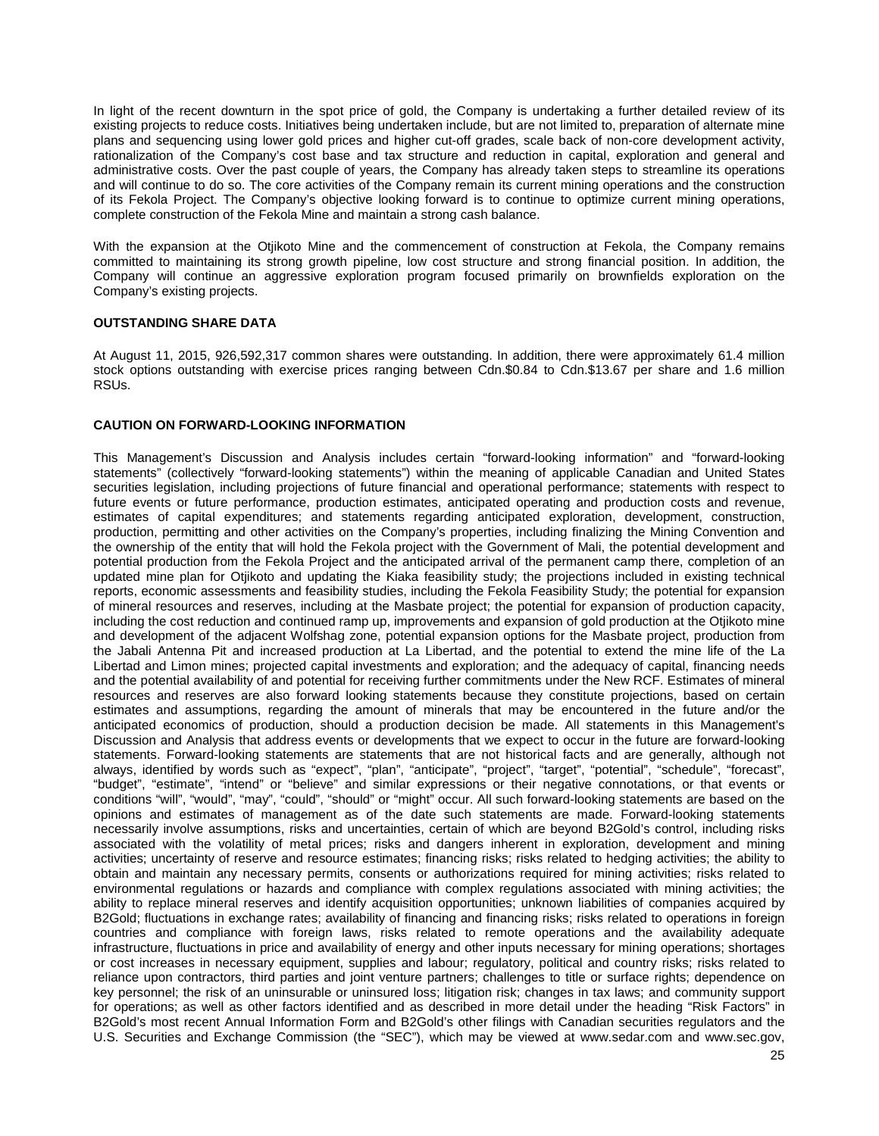In light of the recent downturn in the spot price of gold, the Company is undertaking a further detailed review of its existing projects to reduce costs. Initiatives being undertaken include, but are not limited to, preparation of alternate mine plans and sequencing using lower gold prices and higher cut-off grades, scale back of non-core development activity, rationalization of the Company's cost base and tax structure and reduction in capital, exploration and general and administrative costs. Over the past couple of years, the Company has already taken steps to streamline its operations and will continue to do so. The core activities of the Company remain its current mining operations and the construction of its Fekola Project. The Company's objective looking forward is to continue to optimize current mining operations, complete construction of the Fekola Mine and maintain a strong cash balance.

With the expansion at the Otjikoto Mine and the commencement of construction at Fekola, the Company remains committed to maintaining its strong growth pipeline, low cost structure and strong financial position. In addition, the Company will continue an aggressive exploration program focused primarily on brownfields exploration on the Company's existing projects.

# **OUTSTANDING SHARE DATA**

At August 11, 2015, 926,592,317 common shares were outstanding. In addition, there were approximately 61.4 million stock options outstanding with exercise prices ranging between Cdn.\$0.84 to Cdn.\$13.67 per share and 1.6 million RSUs.

## **CAUTION ON FORWARD-LOOKING INFORMATION**

This Management's Discussion and Analysis includes certain "forward-looking information" and "forward-looking statements" (collectively "forward-looking statements") within the meaning of applicable Canadian and United States securities legislation, including projections of future financial and operational performance; statements with respect to future events or future performance, production estimates, anticipated operating and production costs and revenue, estimates of capital expenditures; and statements regarding anticipated exploration, development, construction, production, permitting and other activities on the Company's properties, including finalizing the Mining Convention and the ownership of the entity that will hold the Fekola project with the Government of Mali, the potential development and potential production from the Fekola Project and the anticipated arrival of the permanent camp there, completion of an updated mine plan for Otjikoto and updating the Kiaka feasibility study; the projections included in existing technical reports, economic assessments and feasibility studies, including the Fekola Feasibility Study; the potential for expansion of mineral resources and reserves, including at the Masbate project; the potential for expansion of production capacity, including the cost reduction and continued ramp up, improvements and expansion of gold production at the Otjikoto mine and development of the adjacent Wolfshag zone, potential expansion options for the Masbate project, production from the Jabali Antenna Pit and increased production at La Libertad, and the potential to extend the mine life of the La Libertad and Limon mines; projected capital investments and exploration; and the adequacy of capital, financing needs and the potential availability of and potential for receiving further commitments under the New RCF. Estimates of mineral resources and reserves are also forward looking statements because they constitute projections, based on certain estimates and assumptions, regarding the amount of minerals that may be encountered in the future and/or the anticipated economics of production, should a production decision be made. All statements in this Management's Discussion and Analysis that address events or developments that we expect to occur in the future are forward-looking statements. Forward-looking statements are statements that are not historical facts and are generally, although not always, identified by words such as "expect", "plan", "anticipate", "project", "target", "potential", "schedule", "forecast", "budget", "estimate", "intend" or "believe" and similar expressions or their negative connotations, or that events or conditions "will", "would", "may", "could", "should" or "might" occur. All such forward-looking statements are based on the opinions and estimates of management as of the date such statements are made. Forward-looking statements necessarily involve assumptions, risks and uncertainties, certain of which are beyond B2Gold's control, including risks associated with the volatility of metal prices; risks and dangers inherent in exploration, development and mining activities; uncertainty of reserve and resource estimates; financing risks; risks related to hedging activities; the ability to obtain and maintain any necessary permits, consents or authorizations required for mining activities; risks related to environmental regulations or hazards and compliance with complex regulations associated with mining activities; the ability to replace mineral reserves and identify acquisition opportunities; unknown liabilities of companies acquired by B2Gold; fluctuations in exchange rates; availability of financing and financing risks; risks related to operations in foreign countries and compliance with foreign laws, risks related to remote operations and the availability adequate infrastructure, fluctuations in price and availability of energy and other inputs necessary for mining operations; shortages or cost increases in necessary equipment, supplies and labour; regulatory, political and country risks; risks related to reliance upon contractors, third parties and joint venture partners; challenges to title or surface rights; dependence on key personnel; the risk of an uninsurable or uninsured loss; litigation risk; changes in tax laws; and community support for operations; as well as other factors identified and as described in more detail under the heading "Risk Factors" in B2Gold's most recent Annual Information Form and B2Gold's other filings with Canadian securities regulators and the U.S. Securities and Exchange Commission (the "SEC"), which may be viewed at www.sedar.com and www.sec.gov,